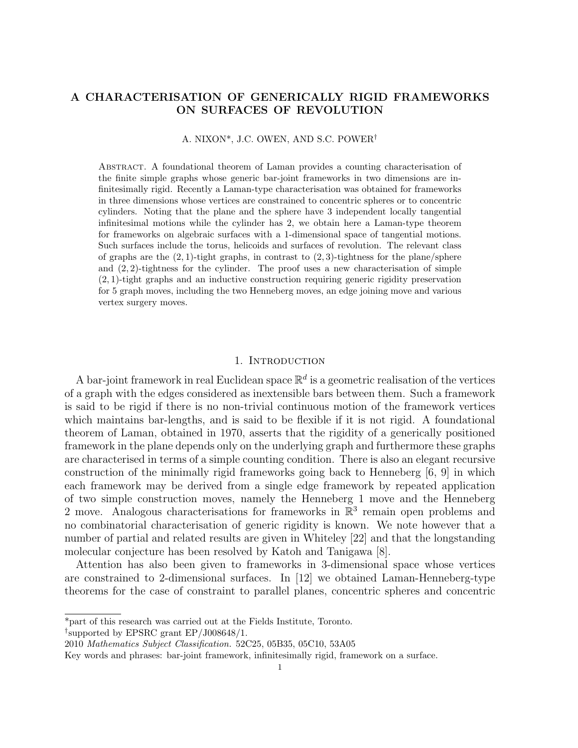# A CHARACTERISATION OF GENERICALLY RIGID FRAMEWORKS ON SURFACES OF REVOLUTION

A. NIXON\*, J.C. OWEN, AND S.C. POWER†

Abstract. A foundational theorem of Laman provides a counting characterisation of the finite simple graphs whose generic bar-joint frameworks in two dimensions are infinitesimally rigid. Recently a Laman-type characterisation was obtained for frameworks in three dimensions whose vertices are constrained to concentric spheres or to concentric cylinders. Noting that the plane and the sphere have 3 independent locally tangential infinitesimal motions while the cylinder has 2, we obtain here a Laman-type theorem for frameworks on algebraic surfaces with a 1-dimensional space of tangential motions. Such surfaces include the torus, helicoids and surfaces of revolution. The relevant class of graphs are the  $(2, 1)$ -tight graphs, in contrast to  $(2, 3)$ -tightness for the plane/sphere and  $(2, 2)$ -tightness for the cylinder. The proof uses a new characterisation of simple (2, 1)-tight graphs and an inductive construction requiring generic rigidity preservation for 5 graph moves, including the two Henneberg moves, an edge joining move and various vertex surgery moves.

### 1. INTRODUCTION

A bar-joint framework in real Euclidean space  $\mathbb{R}^d$  is a geometric realisation of the vertices of a graph with the edges considered as inextensible bars between them. Such a framework is said to be rigid if there is no non-trivial continuous motion of the framework vertices which maintains bar-lengths, and is said to be flexible if it is not rigid. A foundational theorem of Laman, obtained in 1970, asserts that the rigidity of a generically positioned framework in the plane depends only on the underlying graph and furthermore these graphs are characterised in terms of a simple counting condition. There is also an elegant recursive construction of the minimally rigid frameworks going back to Henneberg [6, 9] in which each framework may be derived from a single edge framework by repeated application of two simple construction moves, namely the Henneberg 1 move and the Henneberg 2 move. Analogous characterisations for frameworks in  $\mathbb{R}^3$  remain open problems and no combinatorial characterisation of generic rigidity is known. We note however that a number of partial and related results are given in Whiteley [22] and that the longstanding molecular conjecture has been resolved by Katoh and Tanigawa [8].

Attention has also been given to frameworks in 3-dimensional space whose vertices are constrained to 2-dimensional surfaces. In [12] we obtained Laman-Henneberg-type theorems for the case of constraint to parallel planes, concentric spheres and concentric

† supported by EPSRC grant EP/J008648/1.

<sup>\*</sup>part of this research was carried out at the Fields Institute, Toronto.

<sup>2010</sup> Mathematics Subject Classification. 52C25, 05B35, 05C10, 53A05

Key words and phrases: bar-joint framework, infinitesimally rigid, framework on a surface.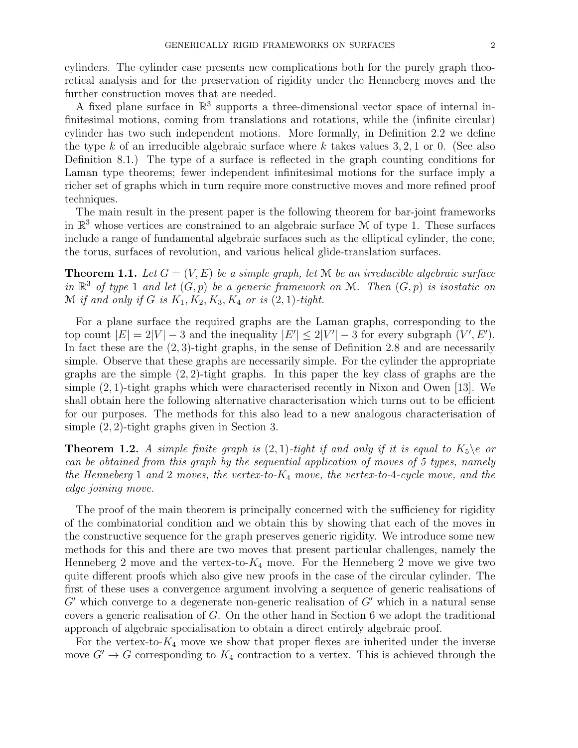cylinders. The cylinder case presents new complications both for the purely graph theoretical analysis and for the preservation of rigidity under the Henneberg moves and the further construction moves that are needed.

A fixed plane surface in  $\mathbb{R}^3$  supports a three-dimensional vector space of internal infinitesimal motions, coming from translations and rotations, while the (infinite circular) cylinder has two such independent motions. More formally, in Definition 2.2 we define the type k of an irreducible algebraic surface where k takes values  $3, 2, 1$  or 0. (See also Definition 8.1.) The type of a surface is reflected in the graph counting conditions for Laman type theorems; fewer independent infinitesimal motions for the surface imply a richer set of graphs which in turn require more constructive moves and more refined proof techniques.

The main result in the present paper is the following theorem for bar-joint frameworks in  $\mathbb{R}^3$  whose vertices are constrained to an algebraic surface M of type 1. These surfaces include a range of fundamental algebraic surfaces such as the elliptical cylinder, the cone, the torus, surfaces of revolution, and various helical glide-translation surfaces.

**Theorem 1.1.** Let  $G = (V, E)$  be a simple graph, let M be an irreducible algebraic surface in  $\mathbb{R}^3$  of type 1 and let  $(G, p)$  be a generic framework on M. Then  $(G, p)$  is isostatic on M if and only if G is  $K_1, K_2, K_3, K_4$  or is  $(2, 1)$ -tight.

For a plane surface the required graphs are the Laman graphs, corresponding to the top count  $|E| = 2|V| - 3$  and the inequality  $|E'| \le 2|V'| - 3$  for every subgraph  $(V', E')$ . In fact these are the  $(2, 3)$ -tight graphs, in the sense of Definition 2.8 and are necessarily simple. Observe that these graphs are necessarily simple. For the cylinder the appropriate graphs are the simple  $(2, 2)$ -tight graphs. In this paper the key class of graphs are the simple  $(2, 1)$ -tight graphs which were characterised recently in Nixon and Owen [13]. We shall obtain here the following alternative characterisation which turns out to be efficient for our purposes. The methods for this also lead to a new analogous characterisation of simple (2, 2)-tight graphs given in Section 3.

**Theorem 1.2.** A simple finite graph is  $(2, 1)$ -tight if and only if it is equal to  $K_5 \geq 0$ can be obtained from this graph by the sequential application of moves of 5 types, namely the Henneberg 1 and 2 moves, the vertex-to- $K_4$  move, the vertex-to-4-cycle move, and the edge joining move.

The proof of the main theorem is principally concerned with the sufficiency for rigidity of the combinatorial condition and we obtain this by showing that each of the moves in the constructive sequence for the graph preserves generic rigidity. We introduce some new methods for this and there are two moves that present particular challenges, namely the Henneberg 2 move and the vertex-to- $K_4$  move. For the Henneberg 2 move we give two quite different proofs which also give new proofs in the case of the circular cylinder. The first of these uses a convergence argument involving a sequence of generic realisations of  $G'$  which converge to a degenerate non-generic realisation of  $G'$  which in a natural sense covers a generic realisation of G. On the other hand in Section 6 we adopt the traditional approach of algebraic specialisation to obtain a direct entirely algebraic proof.

For the vertex-to- $K_4$  move we show that proper flexes are inherited under the inverse move  $G' \rightarrow G$  corresponding to  $K_4$  contraction to a vertex. This is achieved through the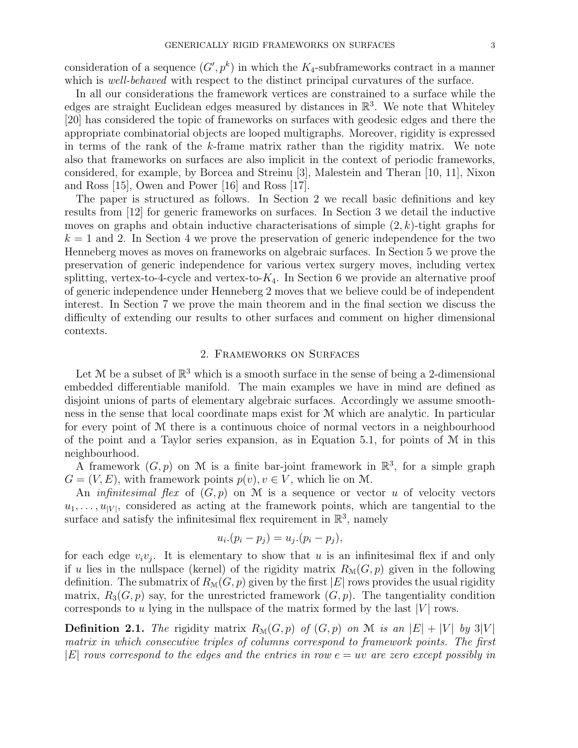consideration of a sequence  $(G', p^k)$  in which the  $K_4$ -subframeworks contract in a manner which is *well-behaved* with respect to the distinct principal curvatures of the surface.

In all our considerations the framework vertices are constrained to a surface while the edges are straight Euclidean edges measured by distances in  $\mathbb{R}^3$ . We note that Whiteley [20] has considered the topic of frameworks on surfaces with geodesic edges and there the appropriate combinatorial objects are looped multigraphs. Moreover, rigidity is expressed in terms of the rank of the k-frame matrix rather than the rigidity matrix. We note also that frameworks on surfaces are also implicit in the context of periodic frameworks, considered, for example, by Borcea and Streinu [3], Malestein and Theran [10, 11], Nixon and Ross [15], Owen and Power [16] and Ross [17].

The paper is structured as follows. In Section 2 we recall basic definitions and key results from [12] for generic frameworks on surfaces. In Section 3 we detail the inductive moves on graphs and obtain inductive characterisations of simple  $(2, k)$ -tight graphs for  $k = 1$  and 2. In Section 4 we prove the preservation of generic independence for the two Henneberg moves as moves on frameworks on algebraic surfaces. In Section 5 we prove the preservation of generic independence for various vertex surgery moves, including vertex splitting, vertex-to-4-cycle and vertex-to- $K_4$ . In Section 6 we provide an alternative proof of generic independence under Henneberg 2 moves that we believe could be of independent interest. In Section 7 we prove the main theorem and in the final section we discuss the difficulty of extending our results to other surfaces and comment on higher dimensional contexts.

## 2. Frameworks on Surfaces

Let M be a subset of  $\mathbb{R}^3$  which is a smooth surface in the sense of being a 2-dimensional embedded differentiable manifold. The main examples we have in mind are defined as disjoint unions of parts of elementary algebraic surfaces. Accordingly we assume smoothness in the sense that local coordinate maps exist for M which are analytic. In particular for every point of M there is a continuous choice of normal vectors in a neighbourhood of the point and a Taylor series expansion, as in Equation 5.1, for points of  $\mathcal M$  in this neighbourhood.

A framework  $(G, p)$  on M is a finite bar-joint framework in  $\mathbb{R}^3$ , for a simple graph  $G = (V, E)$ , with framework points  $p(v), v \in V$ , which lie on M.

An *infinitesimal flex* of  $(G, p)$  on M is a sequence or vector u of velocity vectors  $u_1, \ldots, u_{|V|}$ , considered as acting at the framework points, which are tangential to the surface and satisfy the infinitesimal flex requirement in  $\mathbb{R}^3$ , namely

$$
u_i.(p_i - p_j) = u_j.(p_i - p_j),
$$

for each edge  $v_i v_j$ . It is elementary to show that u is an infinitesimal flex if and only if u lies in the nullspace (kernel) of the rigidity matrix  $R_{\mathcal{M}}(G, p)$  given in the following definition. The submatrix of  $R_\mathcal{M}(G, p)$  given by the first  $|E|$  rows provides the usual rigidity matrix,  $R_3(G, p)$  say, for the unrestricted framework  $(G, p)$ . The tangentiality condition corresponds to u lying in the nullspace of the matrix formed by the last  $|V|$  rows.

**Definition 2.1.** The rigidity matrix  $R_{\mathcal{M}}(G, p)$  of  $(G, p)$  on M is an  $|E| + |V|$  by 3|V| matrix in which consecutive triples of columns correspond to framework points. The first  $|E|$  rows correspond to the edges and the entries in row  $e = uv$  are zero except possibly in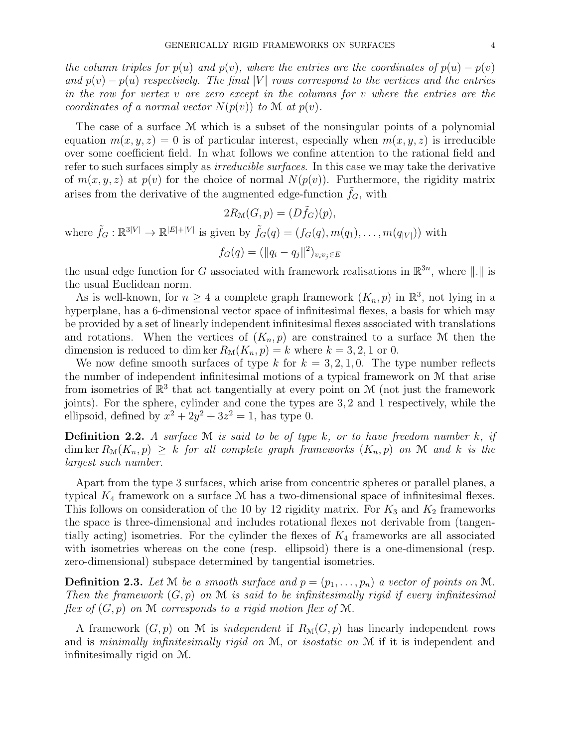the column triples for  $p(u)$  and  $p(v)$ , where the entries are the coordinates of  $p(u) - p(v)$ and  $p(v) - p(u)$  respectively. The final |V| rows correspond to the vertices and the entries in the row for vertex  $v$  are zero except in the columns for  $v$  where the entries are the coordinates of a normal vector  $N(p(v))$  to M at  $p(v)$ .

The case of a surface M which is a subset of the nonsingular points of a polynomial equation  $m(x, y, z) = 0$  is of particular interest, especially when  $m(x, y, z)$  is irreducible over some coefficient field. In what follows we confine attention to the rational field and refer to such surfaces simply as *irreducible surfaces*. In this case we may take the derivative of  $m(x, y, z)$  at  $p(v)$  for the choice of normal  $N(p(v))$ . Furthermore, the rigidity matrix arises from the derivative of the augmented edge-function  $f_G$ , with

$$
2R_{\mathcal{M}}(G, p) = (D\tilde{f}_G)(p),
$$
  
where  $\tilde{f}_G : \mathbb{R}^{3|V|} \to \mathbb{R}^{|E|+|V|}$  is given by  $\tilde{f}_G(q) = (f_G(q), m(q_1), \dots, m(q_{|V|}))$  with  $f_G(q) = (\|q_i - q_j\|^2)_{v_i v_j \in E}$ 

the usual edge function for G associated with framework realisations in  $\mathbb{R}^{3n}$ , where ||.|| is the usual Euclidean norm.

As is well-known, for  $n \geq 4$  a complete graph framework  $(K_n, p)$  in  $\mathbb{R}^3$ , not lying in a hyperplane, has a 6-dimensional vector space of infinitesimal flexes, a basis for which may be provided by a set of linearly independent infinitesimal flexes associated with translations and rotations. When the vertices of  $(K_n, p)$  are constrained to a surface M then the dimension is reduced to dim ker  $R_{\mathcal{M}}(K_n, p) = k$  where  $k = 3, 2, 1$  or 0.

We now define smooth surfaces of type k for  $k = 3, 2, 1, 0$ . The type number reflects the number of independent infinitesimal motions of a typical framework on M that arise from isometries of  $\mathbb{R}^3$  that act tangentially at every point on M (not just the framework joints). For the sphere, cylinder and cone the types are 3, 2 and 1 respectively, while the ellipsoid, defined by  $x^2 + 2y^2 + 3z^2 = 1$ , has type 0.

**Definition 2.2.** A surface  $M$  is said to be of type k, or to have freedom number k, if  $\dim \ker R_{\mathcal{M}}(K_n, p) \geq k$  for all complete graph frameworks  $(K_n, p)$  on M and k is the largest such number.

Apart from the type 3 surfaces, which arise from concentric spheres or parallel planes, a typical  $K_4$  framework on a surface  $M$  has a two-dimensional space of infinitesimal flexes. This follows on consideration of the 10 by 12 rigidity matrix. For  $K_3$  and  $K_2$  frameworks the space is three-dimensional and includes rotational flexes not derivable from (tangentially acting) isometries. For the cylinder the flexes of  $K_4$  frameworks are all associated with isometries whereas on the cone (resp. ellipsoid) there is a one-dimensional (resp. zero-dimensional) subspace determined by tangential isometries.

**Definition 2.3.** Let M be a smooth surface and  $p = (p_1, \ldots, p_n)$  a vector of points on M. Then the framework  $(G, p)$  on M is said to be infinitesimally rigid if every infinitesimal flex of  $(G, p)$  on M corresponds to a rigid motion flex of M.

A framework  $(G, p)$  on M is *independent* if  $R_{\mathcal{M}}(G, p)$  has linearly independent rows and is minimally infinitesimally rigid on  $M$ , or isostatic on  $M$  if it is independent and infinitesimally rigid on M.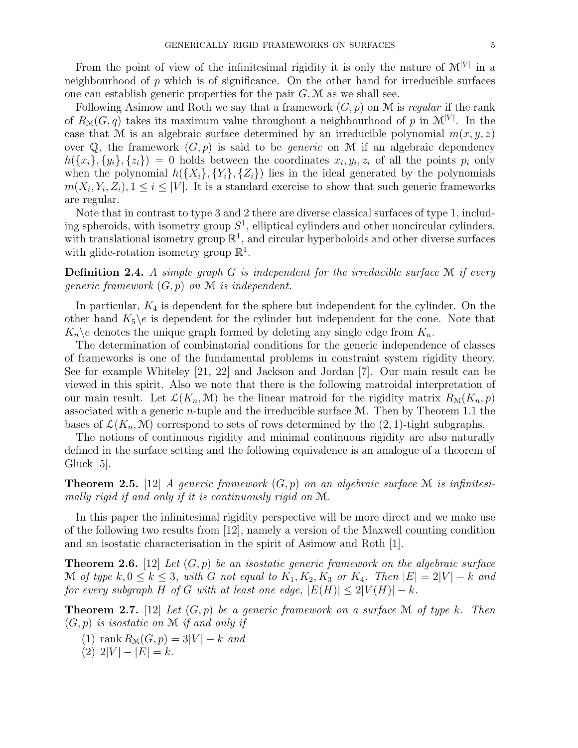From the point of view of the infinitesimal rigidity it is only the nature of  $\mathcal{M}^{|V|}$  in a neighbourhood of  $p$  which is of significance. On the other hand for irreducible surfaces one can establish generic properties for the pair  $G, \mathcal{M}$  as we shall see.

Following Asimow and Roth we say that a framework  $(G, p)$  on M is regular if the rank of  $R_{\mathcal{M}}(G,q)$  takes its maximum value throughout a neighbourhood of p in  $\mathcal{M}^{|V|}$ . In the case that M is an algebraic surface determined by an irreducible polynomial  $m(x, y, z)$ over  $\mathbb Q$ , the framework  $(G, p)$  is said to be *generic* on M if an algebraic dependency  $h({x_i}, {y_i}, {z_i}) = 0$  holds between the coordinates  $x_i, y_i, z_i$  of all the points  $p_i$  only when the polynomial  $h({X_i}, {Y_i}, {Z_i})$  lies in the ideal generated by the polynomials  $m(X_i, Y_i, Z_i), 1 \leq i \leq |V|$ . It is a standard exercise to show that such generic frameworks are regular.

Note that in contrast to type 3 and 2 there are diverse classical surfaces of type 1, including spheroids, with isometry group  $S<sup>1</sup>$ , elliptical cylinders and other noncircular cylinders, with translational isometry group  $\mathbb{R}^1$ , and circular hyperboloids and other diverse surfaces with glide-rotation isometry group  $\mathbb{R}^1$ .

**Definition 2.4.** A simple graph  $G$  is independent for the irreducible surface  $M$  if every qeneric framework  $(G, p)$  on  $M$  is independent.

In particular,  $K_4$  is dependent for the sphere but independent for the cylinder. On the other hand  $K_5 \backslash e$  is dependent for the cylinder but independent for the cone. Note that  $K_n \geq$  denotes the unique graph formed by deleting any single edge from  $K_n$ .

The determination of combinatorial conditions for the generic independence of classes of frameworks is one of the fundamental problems in constraint system rigidity theory. See for example Whiteley [21, 22] and Jackson and Jordan [7]. Our main result can be viewed in this spirit. Also we note that there is the following matroidal interpretation of our main result. Let  $\mathcal{L}(K_n, \mathcal{M})$  be the linear matroid for the rigidity matrix  $R_{\mathcal{M}}(K_n, p)$ associated with a generic  $n$ -tuple and the irreducible surface  $M$ . Then by Theorem 1.1 the bases of  $\mathcal{L}(K_n, \mathcal{M})$  correspond to sets of rows determined by the  $(2, 1)$ -tight subgraphs.

The notions of continuous rigidity and minimal continuous rigidity are also naturally defined in the surface setting and the following equivalence is an analogue of a theorem of Gluck [5].

**Theorem 2.5.** [12] A generic framework  $(G, p)$  on an algebraic surface M is infinitesimally rigid if and only if it is continuously rigid on M.

In this paper the infinitesimal rigidity perspective will be more direct and we make use of the following two results from [12], namely a version of the Maxwell counting condition and an isostatic characterisation in the spirit of Asimow and Roth [1].

**Theorem 2.6.** [12] Let  $(G, p)$  be an isostatic generic framework on the algebraic surface M of type  $k, 0 \le k \le 3$ , with G not equal to  $K_1, K_2, K_3$  or  $K_4$ . Then  $|E| = 2|V| - k$  and for every subgraph H of G with at least one edge,  $|E(H)| \leq 2|V(H)| - k$ .

**Theorem 2.7.** [12] Let  $(G, p)$  be a generic framework on a surface M of type k. Then  $(G, p)$  is isostatic on M if and only if

- (1) rank  $R_{\mathcal{M}}(G, p) = 3|V| k$  and
- (2)  $2|V| |E| = k$ .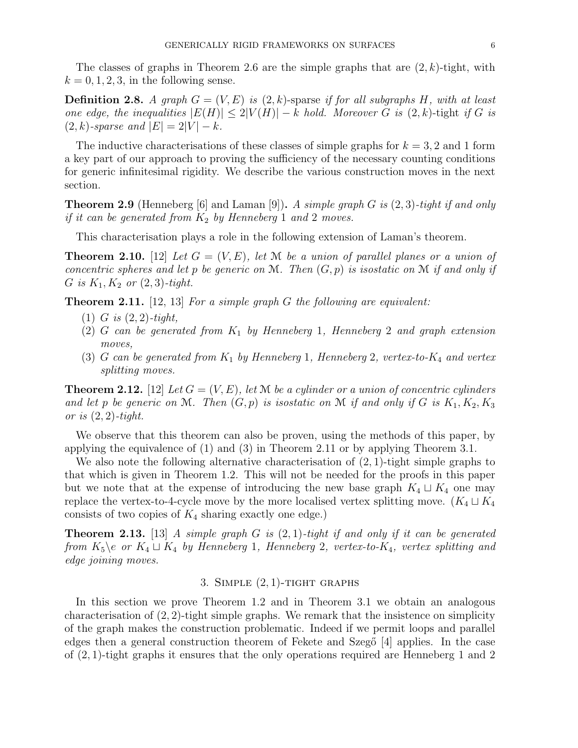The classes of graphs in Theorem 2.6 are the simple graphs that are  $(2, k)$ -tight, with  $k = 0, 1, 2, 3$ , in the following sense.

**Definition 2.8.** A graph  $G = (V, E)$  is  $(2, k)$ -sparse if for all subgraphs H, with at least one edge, the inequalities  $|E(H)| \leq 2|V(H)| - k$  hold. Moreover G is  $(2, k)$ -tight if G is  $(2, k)$ -sparse and  $|E| = 2|V| - k$ .

The inductive characterisations of these classes of simple graphs for  $k = 3, 2$  and 1 form a key part of our approach to proving the sufficiency of the necessary counting conditions for generic infinitesimal rigidity. We describe the various construction moves in the next section.

**Theorem 2.9** (Henneberg [6] and Laman [9]). A simple graph G is  $(2, 3)$ -tight if and only if it can be generated from  $K_2$  by Henneberg 1 and 2 moves.

This characterisation plays a role in the following extension of Laman's theorem.

**Theorem 2.10.** [12] Let  $G = (V, E)$ , let M be a union of parallel planes or a union of concentric spheres and let p be generic on M. Then  $(G, p)$  is isostatic on M if and only if G is  $K_1, K_2$  or  $(2, 3)$ -tight.

**Theorem 2.11.** [12, 13] For a simple graph  $G$  the following are equivalent:

- $(1)$  G is  $(2, 2)$ -tight,
- (2) G can be generated from  $K_1$  by Henneberg 1, Henneberg 2 and graph extension moves,
- (3) G can be generated from  $K_1$  by Henneberg 1, Henneberg 2, vertex-to- $K_4$  and vertex splitting moves.

**Theorem 2.12.** [12] Let  $G = (V, E)$ , let M be a cylinder or a union of concentric cylinders and let p be generic on M. Then  $(G, p)$  is isostatic on M if and only if G is  $K_1, K_2, K_3$ or is  $(2, 2)$ -tight.

We observe that this theorem can also be proven, using the methods of this paper, by applying the equivalence of (1) and (3) in Theorem 2.11 or by applying Theorem 3.1.

We also note the following alternative characterisation of  $(2, 1)$ -tight simple graphs to that which is given in Theorem 1.2. This will not be needed for the proofs in this paper but we note that at the expense of introducing the new base graph  $K_4 \sqcup K_4$  one may replace the vertex-to-4-cycle move by the more localised vertex splitting move.  $(K_4 \sqcup K_4$ consists of two copies of  $K_4$  sharing exactly one edge.)

**Theorem 2.13.** [13] A simple graph G is  $(2, 1)$ -tight if and only if it can be generated from  $K_5 \e \text{ or } K_4 \sqcup K_4$  by Henneberg 1, Henneberg 2, vertex-to- $K_4$ , vertex splitting and edge joining moves.

## 3. SIMPLE  $(2, 1)$ -TIGHT GRAPHS

In this section we prove Theorem 1.2 and in Theorem 3.1 we obtain an analogous characterisation of  $(2, 2)$ -tight simple graphs. We remark that the insistence on simplicity of the graph makes the construction problematic. Indeed if we permit loops and parallel edges then a general construction theorem of Fekete and Szeg $6 \vert 4$  applies. In the case of (2, 1)-tight graphs it ensures that the only operations required are Henneberg 1 and 2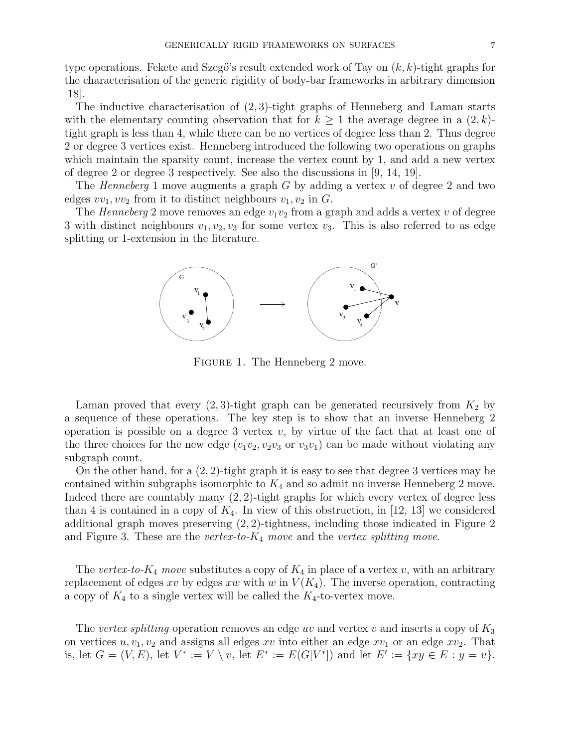type operations. Fekete and Szegő's result extended work of Tay on  $(k, k)$ -tight graphs for the characterisation of the generic rigidity of body-bar frameworks in arbitrary dimension [18].

The inductive characterisation of  $(2, 3)$ -tight graphs of Henneberg and Laman starts with the elementary counting observation that for  $k \geq 1$  the average degree in a  $(2, k)$ tight graph is less than 4, while there can be no vertices of degree less than 2. Thus degree 2 or degree 3 vertices exist. Henneberg introduced the following two operations on graphs which maintain the sparsity count, increase the vertex count by 1, and add a new vertex of degree 2 or degree 3 respectively. See also the discussions in [9, 14, 19].

The Henneberg 1 move augments a graph  $G$  by adding a vertex  $v$  of degree 2 and two edges  $vv_1, vv_2$  from it to distinct neighbours  $v_1, v_2$  in G.

The Henneberg 2 move removes an edge  $v_1v_2$  from a graph and adds a vertex v of degree 3 with distinct neighbours  $v_1, v_2, v_3$  for some vertex  $v_3$ . This is also referred to as edge splitting or 1-extension in the literature.



FIGURE 1. The Henneberg 2 move.

Laman proved that every  $(2, 3)$ -tight graph can be generated recursively from  $K_2$  by a sequence of these operations. The key step is to show that an inverse Henneberg 2 operation is possible on a degree 3 vertex  $v$ , by virtue of the fact that at least one of the three choices for the new edge  $(v_1v_2, v_2v_3 \text{ or } v_3v_1)$  can be made without violating any subgraph count.

On the other hand, for a (2, 2)-tight graph it is easy to see that degree 3 vertices may be contained within subgraphs isomorphic to  $K_4$  and so admit no inverse Henneberg 2 move. Indeed there are countably many (2, 2)-tight graphs for which every vertex of degree less than 4 is contained in a copy of  $K_4$ . In view of this obstruction, in [12, 13] we considered additional graph moves preserving (2, 2)-tightness, including those indicated in Figure 2 and Figure 3. These are the vertex-to- $K_4$  move and the vertex splitting move.

The vertex-to- $K_4$  move substitutes a copy of  $K_4$  in place of a vertex v, with an arbitrary replacement of edges xv by edges xw with w in  $V(K_4)$ . The inverse operation, contracting a copy of  $K_4$  to a single vertex will be called the  $K_4$ -to-vertex move.

The vertex splitting operation removes an edge uv and vertex v and inserts a copy of  $K_3$ on vertices  $u, v_1, v_2$  and assigns all edges xv into either an edge  $xv_1$  or an edge  $xv_2$ . That is, let  $G = (V, E)$ , let  $V^* := V \setminus v$ , let  $E^* := E(G[V^*])$  and let  $E' := \{xy \in E : y = v\}.$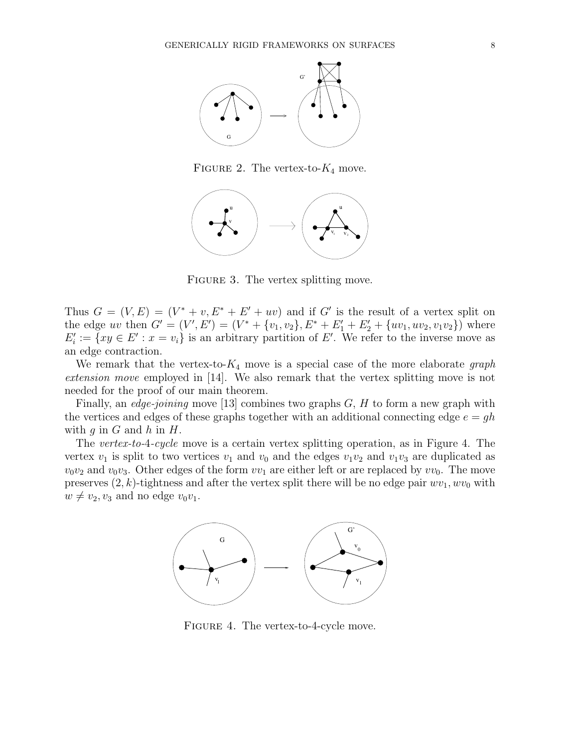

FIGURE 2. The vertex-to- $K_4$  move.



FIGURE 3. The vertex splitting move.

Thus  $G = (V, E) = (V^* + v, E^* + E' + uv)$  and if G' is the result of a vertex split on the edge uv then  $G' = (V', E') = (V^* + \{v_1, v_2\}, E^* + E'_1 + E'_2 + \{uv_1, uv_2, v_1v_2\})$  where  $E'_i := \{ xy \in E' : x = v_i \}$  is an arbitrary partition of E'. We refer to the inverse move as an edge contraction.

We remark that the vertex-to- $K_4$  move is a special case of the more elaborate graph extension move employed in [14]. We also remark that the vertex splitting move is not needed for the proof of our main theorem.

Finally, an *edge-joining* move [13] combines two graphs  $G$ ,  $H$  to form a new graph with the vertices and edges of these graphs together with an additional connecting edge  $e = gh$ with q in  $G$  and  $h$  in  $H$ .

The vertex-to-4-cycle move is a certain vertex splitting operation, as in Figure 4. The vertex  $v_1$  is split to two vertices  $v_1$  and  $v_0$  and the edges  $v_1v_2$  and  $v_1v_3$  are duplicated as  $v_0v_2$  and  $v_0v_3$ . Other edges of the form  $vv_1$  are either left or are replaced by  $vv_0$ . The move preserves  $(2, k)$ -tightness and after the vertex split there will be no edge pair  $wv_1, wv_0$  with  $w \neq v_2, v_3$  and no edge  $v_0v_1$ .



FIGURE 4. The vertex-to-4-cycle move.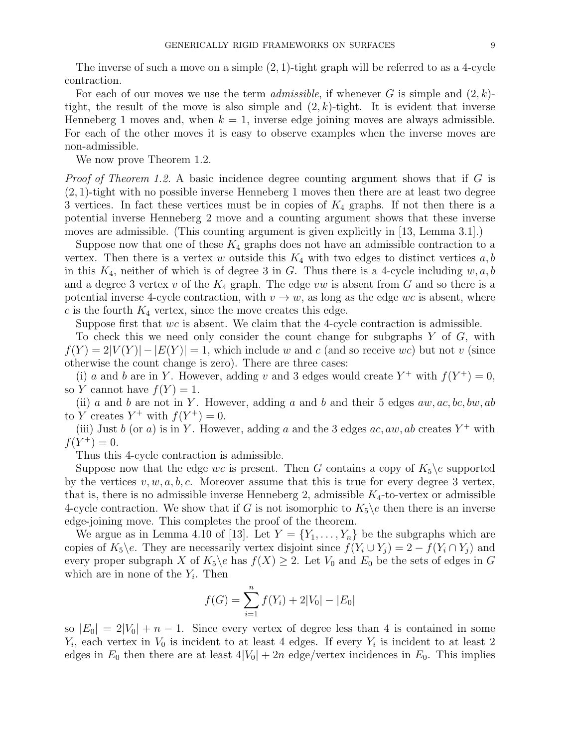The inverse of such a move on a simple  $(2, 1)$ -tight graph will be referred to as a 4-cycle contraction.

For each of our moves we use the term *admissible*, if whenever G is simple and  $(2, k)$ tight, the result of the move is also simple and  $(2, k)$ -tight. It is evident that inverse Henneberg 1 moves and, when  $k = 1$ , inverse edge joining moves are always admissible. For each of the other moves it is easy to observe examples when the inverse moves are non-admissible.

We now prove Theorem 1.2.

*Proof of Theorem 1.2.* A basic incidence degree counting argument shows that if G is (2, 1)-tight with no possible inverse Henneberg 1 moves then there are at least two degree 3 vertices. In fact these vertices must be in copies of  $K_4$  graphs. If not then there is a potential inverse Henneberg 2 move and a counting argument shows that these inverse moves are admissible. (This counting argument is given explicitly in [13, Lemma 3.1].)

Suppose now that one of these  $K_4$  graphs does not have an admissible contraction to a vertex. Then there is a vertex w outside this  $K_4$  with two edges to distinct vertices  $a, b$ in this  $K_4$ , neither of which is of degree 3 in G. Thus there is a 4-cycle including  $w, a, b$ and a degree 3 vertex v of the  $K_4$  graph. The edge vw is absent from G and so there is a potential inverse 4-cycle contraction, with  $v \to w$ , as long as the edge wc is absent, where  $c$  is the fourth  $K_4$  vertex, since the move creates this edge.

Suppose first that wc is absent. We claim that the 4-cycle contraction is admissible.

To check this we need only consider the count change for subgraphs  $Y$  of  $G$ , with  $f(Y) = 2|V(Y)| - |E(Y)| = 1$ , which include w and c (and so receive wc) but not v (since otherwise the count change is zero). There are three cases:

(i) a and b are in Y. However, adding v and 3 edges would create  $Y^+$  with  $f(Y^+) = 0$ , so Y cannot have  $f(Y) = 1$ .

(ii) a and b are not in Y. However, adding a and b and their 5 edges  $aw, ac, bc, bw, ab$ to Y creates  $Y^+$  with  $f(Y^+) = 0$ .

(iii) Just b (or a) is in Y. However, adding a and the 3 edges  $ac, aw, ab$  creates  $Y^+$  with  $f(Y^+) = 0.$ 

Thus this 4-cycle contraction is admissible.

Suppose now that the edge wc is present. Then G contains a copy of  $K_5\$ e supported by the vertices  $v, w, a, b, c$ . Moreover assume that this is true for every degree 3 vertex, that is, there is no admissible inverse Henneberg 2, admissible  $K_4$ -to-vertex or admissible 4-cycle contraction. We show that if G is not isomorphic to  $K_5\$ e then there is an inverse edge-joining move. This completes the proof of the theorem.

We argue as in Lemma 4.10 of [13]. Let  $Y = \{Y_1, \ldots, Y_n\}$  be the subgraphs which are copies of  $K_5\backslash e$ . They are necessarily vertex disjoint since  $f(Y_i \cup Y_j) = 2 - f(Y_i \cap Y_j)$  and every proper subgraph X of  $K_5\backslash e$  has  $f(X) \geq 2$ . Let  $V_0$  and  $E_0$  be the sets of edges in G which are in none of the  $Y_i$ . Then

$$
f(G) = \sum_{i=1}^{n} f(Y_i) + 2|V_0| - |E_0|
$$

so  $|E_0| = 2|V_0| + n - 1$ . Since every vertex of degree less than 4 is contained in some  $Y_i$ , each vertex in  $V_0$  is incident to at least 4 edges. If every  $Y_i$  is incident to at least 2 edges in  $E_0$  then there are at least  $4|V_0| + 2n$  edge/vertex incidences in  $E_0$ . This implies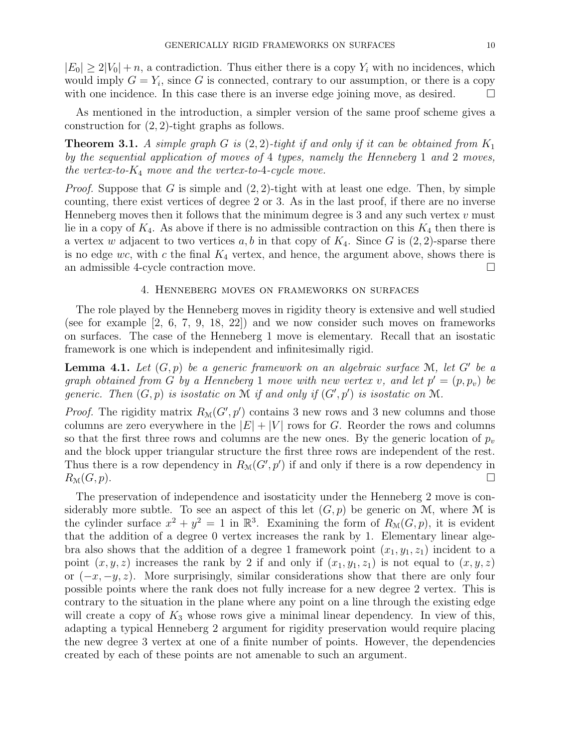$|E_0| \geq 2|V_0| + n$ , a contradiction. Thus either there is a copy  $Y_i$  with no incidences, which would imply  $G = Y_i$ , since G is connected, contrary to our assumption, or there is a copy with one incidence. In this case there is an inverse edge joining move, as desired.  $\square$ 

As mentioned in the introduction, a simpler version of the same proof scheme gives a construction for (2, 2)-tight graphs as follows.

**Theorem 3.1.** A simple graph G is  $(2, 2)$ -tight if and only if it can be obtained from  $K_1$ by the sequential application of moves of 4 types, namely the Henneberg 1 and 2 moves, the vertex-to- $K_4$  move and the vertex-to-4-cycle move.

*Proof.* Suppose that G is simple and  $(2, 2)$ -tight with at least one edge. Then, by simple counting, there exist vertices of degree 2 or 3. As in the last proof, if there are no inverse Henneberg moves then it follows that the minimum degree is 3 and any such vertex  $v$  must lie in a copy of  $K_4$ . As above if there is no admissible contraction on this  $K_4$  then there is a vertex w adjacent to two vertices  $a, b$  in that copy of  $K_4$ . Since G is  $(2, 2)$ -sparse there is no edge wc, with c the final  $K_4$  vertex, and hence, the argument above, shows there is an admissible 4-cycle contraction move.

### 4. Henneberg moves on frameworks on surfaces

The role played by the Henneberg moves in rigidity theory is extensive and well studied (see for example [2, 6, 7, 9, 18, 22]) and we now consider such moves on frameworks on surfaces. The case of the Henneberg 1 move is elementary. Recall that an isostatic framework is one which is independent and infinitesimally rigid.

**Lemma 4.1.** Let  $(G, p)$  be a generic framework on an algebraic surface M, let G' be a graph obtained from G by a Henneberg 1 move with new vertex v, and let  $p' = (p, p_v)$  be generic. Then  $(G, p)$  is isostatic on M if and only if  $(G', p')$  is isostatic on M.

*Proof.* The rigidity matrix  $R_{\mathcal{M}}(G', p')$  contains 3 new rows and 3 new columns and those columns are zero everywhere in the  $|E| + |V|$  rows for G. Reorder the rows and columns so that the first three rows and columns are the new ones. By the generic location of  $p_v$ and the block upper triangular structure the first three rows are independent of the rest. Thus there is a row dependency in  $R_{\mathcal{M}}(G', p')$  if and only if there is a row dependency in  $R_{\mathcal{M}}(G, p).$ 

The preservation of independence and isostaticity under the Henneberg 2 move is considerably more subtle. To see an aspect of this let  $(G, p)$  be generic on M, where M is the cylinder surface  $x^2 + y^2 = 1$  in  $\mathbb{R}^3$ . Examining the form of  $R_\mathcal{M}(G, p)$ , it is evident that the addition of a degree 0 vertex increases the rank by 1. Elementary linear algebra also shows that the addition of a degree 1 framework point  $(x_1, y_1, z_1)$  incident to a point  $(x, y, z)$  increases the rank by 2 if and only if  $(x_1, y_1, z_1)$  is not equal to  $(x, y, z)$ or  $(-x, -y, z)$ . More surprisingly, similar considerations show that there are only four possible points where the rank does not fully increase for a new degree 2 vertex. This is contrary to the situation in the plane where any point on a line through the existing edge will create a copy of  $K_3$  whose rows give a minimal linear dependency. In view of this, adapting a typical Henneberg 2 argument for rigidity preservation would require placing the new degree 3 vertex at one of a finite number of points. However, the dependencies created by each of these points are not amenable to such an argument.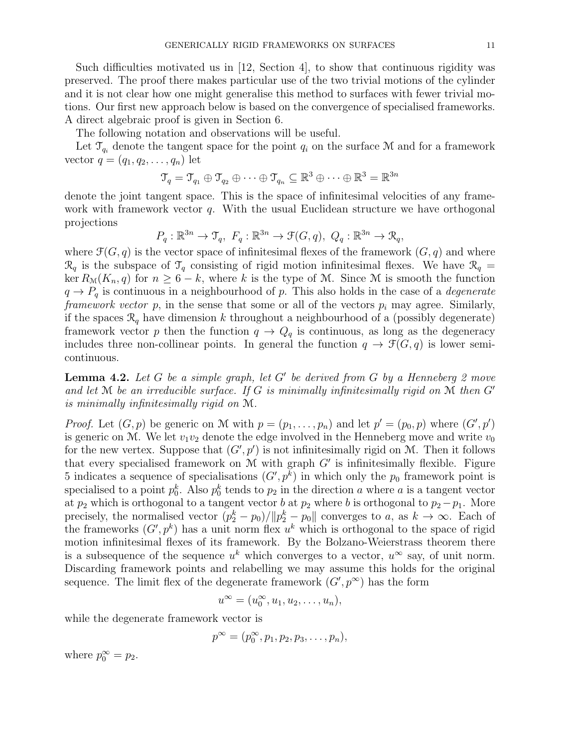Such difficulties motivated us in [12, Section 4], to show that continuous rigidity was preserved. The proof there makes particular use of the two trivial motions of the cylinder and it is not clear how one might generalise this method to surfaces with fewer trivial motions. Our first new approach below is based on the convergence of specialised frameworks. A direct algebraic proof is given in Section 6.

The following notation and observations will be useful.

Let  $\mathcal{T}_{q_i}$  denote the tangent space for the point  $q_i$  on the surface M and for a framework vector  $q = (q_1, q_2, ..., q_n)$  let

$$
\mathcal{T}_q = \mathcal{T}_{q_1} \oplus \mathcal{T}_{q_2} \oplus \cdots \oplus \mathcal{T}_{q_n} \subseteq \mathbb{R}^3 \oplus \cdots \oplus \mathbb{R}^3 = \mathbb{R}^{3n}
$$

denote the joint tangent space. This is the space of infinitesimal velocities of any framework with framework vector  $q$ . With the usual Euclidean structure we have orthogonal projections

$$
P_q: \mathbb{R}^{3n} \to \mathfrak{T}_q, \ F_q: \mathbb{R}^{3n} \to \mathfrak{F}(G, q), \ Q_q: \mathbb{R}^{3n} \to \mathfrak{R}_q,
$$

where  $\mathcal{F}(G, q)$  is the vector space of infinitesimal flexes of the framework  $(G, q)$  and where  $\mathcal{R}_q$  is the subspace of  $\mathcal{T}_q$  consisting of rigid motion infinitesimal flexes. We have  $\mathcal{R}_q$  = ker  $R_{\mathcal{M}}(K_n, q)$  for  $n \geq 6 - k$ , where k is the type of M. Since M is smooth the function  $q \rightarrow P_q$  is continuous in a neighbourhood of p. This also holds in the case of a *degenerate* framework vector p, in the sense that some or all of the vectors  $p_i$  may agree. Similarly, if the spaces  $\mathcal{R}_q$  have dimension k throughout a neighbourhood of a (possibly degenerate) framework vector p then the function  $q \to Q_q$  is continuous, as long as the degeneracy includes three non-collinear points. In general the function  $q \to \mathcal{F}(G, q)$  is lower semicontinuous.

**Lemma 4.2.** Let G be a simple graph, let G' be derived from G by a Henneberg 2 move and let  $\mathcal M$  be an irreducible surface. If G is minimally infinitesimally rigid on  $\mathcal M$  then  $G'$ is minimally infinitesimally rigid on M.

*Proof.* Let  $(G, p)$  be generic on M with  $p = (p_1, \ldots, p_n)$  and let  $p' = (p_0, p)$  where  $(G', p')$ is generic on M. We let  $v_1v_2$  denote the edge involved in the Henneberg move and write  $v_0$ for the new vertex. Suppose that  $(G', p')$  is not infinitesimally rigid on M. Then it follows that every specialised framework on  $M$  with graph  $G'$  is infinitesimally flexible. Figure 5 indicates a sequence of specialisations  $(G', p^k)$  in which only the  $p_0$  framework point is specialised to a point  $p_0^k$ . Also  $p_0^k$  tends to  $p_2$  in the direction a where a is a tangent vector at  $p_2$  which is orthogonal to a tangent vector b at  $p_2$  where b is orthogonal to  $p_2 - p_1$ . More precisely, the normalised vector  $(p_2^k - p_0) / ||p_2^k - p_0||$  converges to a, as  $k \to \infty$ . Each of the frameworks  $(G', p^k)$  has a unit norm flex  $u^k$  which is orthogonal to the space of rigid motion infinitesimal flexes of its framework. By the Bolzano-Weierstrass theorem there is a subsequence of the sequence  $u^k$  which converges to a vector,  $u^{\infty}$  say, of unit norm. Discarding framework points and relabelling we may assume this holds for the original sequence. The limit flex of the degenerate framework  $(G, p^{\infty})$  has the form

$$
u^{\infty} = (u_0^{\infty}, u_1, u_2, \dots, u_n),
$$

while the degenerate framework vector is

$$
p^{\infty}=(p_0^{\infty},p_1,p_2,p_3,\ldots,p_n),
$$

where  $p_0^{\infty} = p_2$ .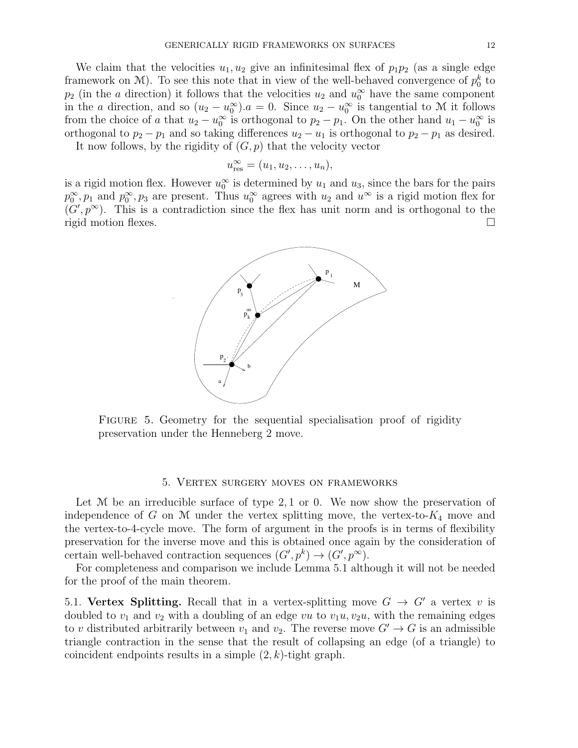We claim that the velocities  $u_1, u_2$  give an infinitesimal flex of  $p_1p_2$  (as a single edge framework on  $M$ ). To see this note that in view of the well-behaved convergence of  $p_0^k$  to  $p_2$  (in the a direction) it follows that the velocities  $u_2$  and  $u_0^{\infty}$  have the same component in the a direction, and so  $(u_2 - u_0^{\infty})$ .  $a = 0$ . Since  $u_2 - u_0^{\infty}$  is tangential to M it follows from the choice of a that  $u_2 - u_0^{\infty}$  is orthogonal to  $p_2 - p_1$ . On the other hand  $u_1 - u_0^{\infty}$  is orthogonal to  $p_2 - p_1$  and so taking differences  $u_2 - u_1$  is orthogonal to  $p_2 - p_1$  as desired.

It now follows, by the rigidity of  $(G, p)$  that the velocity vector

$$
u_{\text{res}}^{\infty} = (u_1, u_2, \dots, u_n),
$$

is a rigid motion flex. However  $u_0^{\infty}$  is determined by  $u_1$  and  $u_3$ , since the bars for the pairs  $p_0^{\infty}, p_1$  and  $p_0^{\infty}, p_3$  are present. Thus  $u_0^{\infty}$  agrees with  $u_2$  and  $u^{\infty}$  is a rigid motion flex for  $(G', p^{\infty})$ . This is a contradiction since the flex has unit norm and is orthogonal to the rigid motion flexes.



Figure 5. Geometry for the sequential specialisation proof of rigidity preservation under the Henneberg 2 move.

## 5. Vertex surgery moves on frameworks

Let  $M$  be an irreducible surface of type 2, 1 or 0. We now show the preservation of independence of G on M under the vertex splitting move, the vertex-to- $K_4$  move and the vertex-to-4-cycle move. The form of argument in the proofs is in terms of flexibility preservation for the inverse move and this is obtained once again by the consideration of certain well-behaved contraction sequences  $(G', p^k) \to (G', p^{\infty}).$ 

For completeness and comparison we include Lemma 5.1 although it will not be needed for the proof of the main theorem.

5.1. Vertex Splitting. Recall that in a vertex-splitting move  $G \rightarrow G'$  a vertex v is doubled to  $v_1$  and  $v_2$  with a doubling of an edge vu to  $v_1u, v_2u$ , with the remaining edges to v distributed arbitrarily between  $v_1$  and  $v_2$ . The reverse move  $G' \to G$  is an admissible triangle contraction in the sense that the result of collapsing an edge (of a triangle) to coincident endpoints results in a simple  $(2, k)$ -tight graph.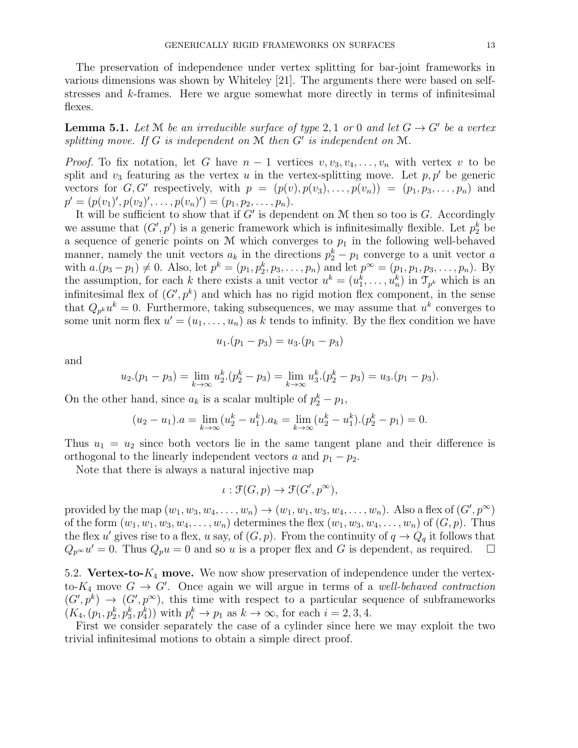The preservation of independence under vertex splitting for bar-joint frameworks in various dimensions was shown by Whiteley [21]. The arguments there were based on selfstresses and k-frames. Here we argue somewhat more directly in terms of infinitesimal flexes.

**Lemma 5.1.** Let M be an irreducible surface of type 2, 1 or 0 and let  $G \rightarrow G'$  be a vertex splitting move. If  $G$  is independent on  $M$  then  $G'$  is independent on  $M$ .

*Proof.* To fix notation, let G have  $n-1$  vertices  $v, v_3, v_4, \ldots, v_n$  with vertex v to be split and  $v_3$  featuring as the vertex u in the vertex-splitting move. Let  $p, p'$  be generic vectors for  $G, G'$  respectively, with  $p = (p(v), p(v_3), \ldots, p(v_n)) = (p_1, p_3, \ldots, p_n)$  and  $p' = (p(v_1)', p(v_2)', \ldots, p(v_n)') = (p_1, p_2, \ldots, p_n).$ 

It will be sufficient to show that if  $G'$  is dependent on  $M$  then so too is  $G$ . Accordingly we assume that  $(G', p')$  is a generic framework which is infinitesimally flexible. Let  $p_2^k$  be a sequence of generic points on  $M$  which converges to  $p_1$  in the following well-behaved manner, namely the unit vectors  $a_k$  in the directions  $p_2^k - p_1$  converge to a unit vector a with  $a.(p_3 - p_1) \neq 0$ . Also, let  $p^k = (p_1, p_2^k, p_3, \ldots, p_n)$  and let  $p^{\infty} = (p_1, p_1, p_3, \ldots, p_n)$ . By the assumption, for each k there exists a unit vector  $u^k = (u_1^k, \ldots, u_n^k)$  in  $\mathcal{T}_{p^k}$  which is an infinitesimal flex of  $(G', p^k)$  and which has no rigid motion flex component, in the sense that  $Q_{p^k}u^k=0$ . Furthermore, taking subsequences, we may assume that  $u^k$  converges to some unit norm flex  $u' = (u_1, \ldots, u_n)$  as k tends to infinity. By the flex condition we have

$$
u_1.(p_1-p_3) = u_3.(p_1-p_3)
$$

and

$$
u_2.(p_1-p_3) = \lim_{k \to \infty} u_2^k.(p_2^k - p_3) = \lim_{k \to \infty} u_3^k.(p_2^k - p_3) = u_3.(p_1 - p_3).
$$

On the other hand, since  $a_k$  is a scalar multiple of  $p_2^k - p_1$ ,

$$
(u_2 - u_1).a = \lim_{k \to \infty} (u_2^k - u_1^k).a_k = \lim_{k \to \infty} (u_2^k - u_1^k).(p_2^k - p_1) = 0.
$$

Thus  $u_1 = u_2$  since both vectors lie in the same tangent plane and their difference is orthogonal to the linearly independent vectors a and  $p_1 - p_2$ .

Note that there is always a natural injective map

$$
\iota : \mathfrak{F}(G, p) \to \mathfrak{F}(G', p^{\infty}),
$$

provided by the map  $(w_1, w_3, w_4, \ldots, w_n) \to (w_1, w_1, w_3, w_4, \ldots, w_n)$ . Also a flex of  $(G', p^{\infty})$ of the form  $(w_1, w_1, w_3, w_4, \ldots, w_n)$  determines the flex  $(w_1, w_3, w_4, \ldots, w_n)$  of  $(G, p)$ . Thus the flex u' gives rise to a flex, u say, of  $(G, p)$ . From the continuity of  $q \to Q_q$  it follows that  $Q_{p^{\infty}}u' = 0$ . Thus  $Q_{p}u = 0$  and so u is a proper flex and G is dependent, as required.  $\square$ 

5.2. Vertex-to- $K_4$  move. We now show preservation of independence under the vertexto- $K_4$  move  $G \to G'$ . Once again we will argue in terms of a well-behaved contraction  $(G', p^k) \to (G', p^{\infty})$ , this time with respect to a particular sequence of subframeworks  $(K_4, (p_1, p_2^k, p_3^k, p_4^k))$  with  $p_i^k \to p_1$  as  $k \to \infty$ , for each  $i = 2, 3, 4$ .

First we consider separately the case of a cylinder since here we may exploit the two trivial infinitesimal motions to obtain a simple direct proof.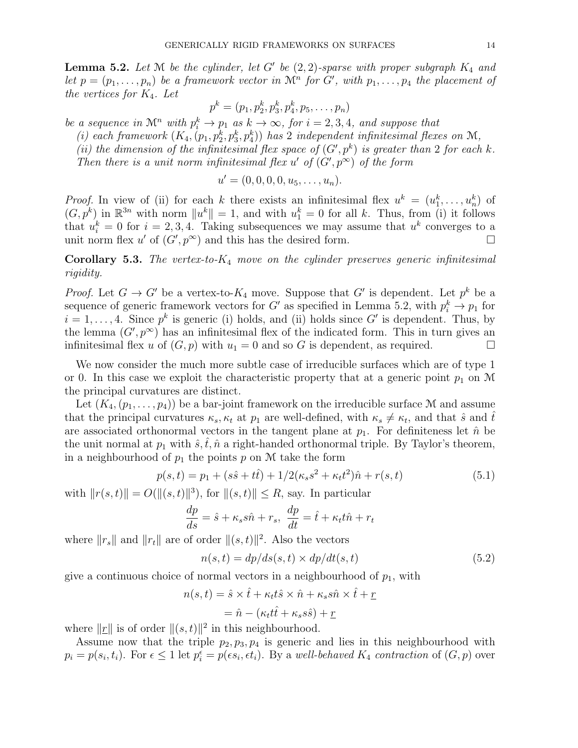**Lemma 5.2.** Let  $M$  be the cylinder, let G' be  $(2, 2)$ -sparse with proper subgraph  $K_4$  and let  $p = (p_1, \ldots, p_n)$  be a framework vector in  $\mathcal{M}^n$  for G', with  $p_1, \ldots, p_4$  the placement of the vertices for  $K_4$ . Let

$$
p^k = (p_1, p_2^k, p_3^k, p_4^k, p_5, \ldots, p_n)
$$

be a sequence in  $\mathcal{M}^n$  with  $p_i^k \to p_1$  as  $k \to \infty$ , for  $i = 2, 3, 4$ , and suppose that

(i) each framework  $(K_4, (p_1, p_2^k, p_3^k, p_4^k))$  has 2 independent infinitesimal flexes on M,

(ii) the dimension of the infinitesimal flex space of  $(G', p^k)$  is greater than 2 for each k.

Then there is a unit norm infinitesimal flex u' of  $(G', p^{\infty})$  of the form

$$
u' = (0, 0, 0, 0, u_5, \ldots, u_n).
$$

*Proof.* In view of (ii) for each k there exists an infinitesimal flex  $u^k = (u_1^k, \ldots, u_n^k)$  of  $(G, p^k)$  in  $\mathbb{R}^{3n}$  with norm  $||u^k|| = 1$ , and with  $u_1^k = 0$  for all k. Thus, from (i) it follows that  $u_i^k = 0$  for  $i = 2, 3, 4$ . Taking subsequences we may assume that  $u^k$  converges to a unit norm flex u' of  $(G', p^{\infty})$  and this has the desired form.

**Corollary 5.3.** The vertex-to- $K_4$  move on the cylinder preserves generic infinitesimal rigidity.

*Proof.* Let  $G \to G'$  be a vertex-to- $K_4$  move. Suppose that G' is dependent. Let  $p^k$  be a sequence of generic framework vectors for G' as specified in Lemma 5.2, with  $p_i^k \to p_1$  for  $i = 1, \ldots, 4$ . Since  $p^k$  is generic (i) holds, and (ii) holds since G' is dependent. Thus, by the lemma  $(G, p^{\infty})$  has an infinitesimal flex of the indicated form. This in turn gives an infinitesimal flex u of  $(G, p)$  with  $u_1 = 0$  and so G is dependent, as required.

We now consider the much more subtle case of irreducible surfaces which are of type 1 or 0. In this case we exploit the characteristic property that at a generic point  $p_1$  on M the principal curvatures are distinct.

Let  $(K_4,(p_1,\ldots,p_4))$  be a bar-joint framework on the irreducible surface M and assume that the principal curvatures  $\kappa_s$ ,  $\kappa_t$  at  $p_1$  are well-defined, with  $\kappa_s \neq \kappa_t$ , and that  $\hat{s}$  and  $\hat{t}$ are associated orthonormal vectors in the tangent plane at  $p_1$ . For definiteness let  $\hat{n}$  be the unit normal at  $p_1$  with  $\hat{s}, \hat{t}, \hat{n}$  a right-handed orthonormal triple. By Taylor's theorem, in a neighbourhood of  $p_1$  the points p on M take the form

$$
p(s,t) = p_1 + (s\hat{s} + t\hat{t}) + 1/2(\kappa_s s^2 + \kappa_t t^2)\hat{n} + r(s,t)
$$
\n(5.1)

with  $||r(s, t)|| = O(||(s, t)||^3)$ , for  $||(s, t)|| \le R$ , say. In particular

$$
\frac{dp}{ds} = \hat{s} + \kappa_s s \hat{n} + r_s, \ \frac{dp}{dt} = \hat{t} + \kappa_t t \hat{n} + r_t
$$

where  $||r_s||$  and  $||r_t||$  are of order  $||(s, t)||^2$ . Also the vectors

$$
n(s,t) = dp/ds(s,t) \times dp/dt(s,t)
$$
\n(5.2)

give a continuous choice of normal vectors in a neighbourhood of  $p_1$ , with

$$
n(s,t) = \hat{s} \times \hat{t} + \kappa_t t \hat{s} \times \hat{n} + \kappa_s s \hat{n} \times \hat{t} + \underline{r}
$$

$$
= \hat{n} - (\kappa_t t \hat{t} + \kappa_s s \hat{s}) + \underline{r}
$$

where  $||\underline{r}||$  is of order  $||(s, t)||^2$  in this neighbourhood.

Assume now that the triple  $p_2, p_3, p_4$  is generic and lies in this neighbourhood with  $p_i = p(s_i, t_i)$ . For  $\epsilon \leq 1$  let  $p_i^{\epsilon} = p(\epsilon s_i, \epsilon t_i)$ . By a well-behaved  $K_4$  contraction of  $(G, p)$  over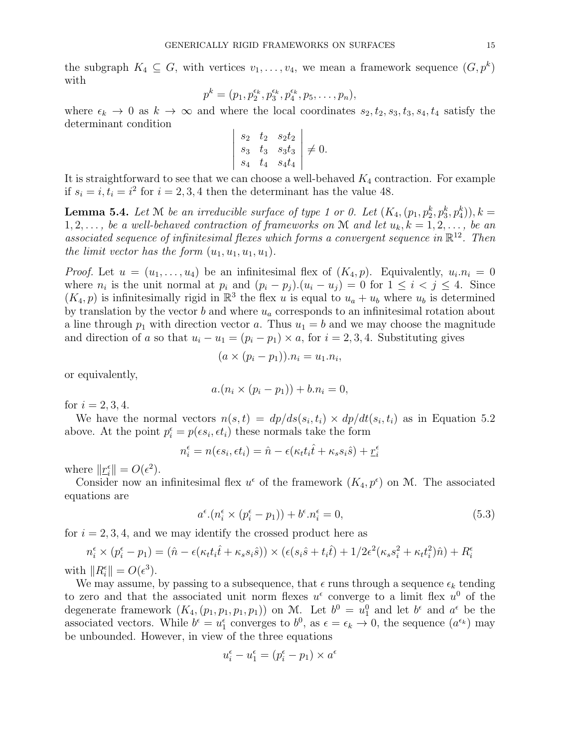the subgraph  $K_4 \subseteq G$ , with vertices  $v_1, \ldots, v_4$ , we mean a framework sequence  $(G, p^k)$ with

$$
p^{k} = (p_1, p_2^{\epsilon_k}, p_3^{\epsilon_k}, p_4^{\epsilon_k}, p_5, \ldots, p_n),
$$

where  $\epsilon_k \to 0$  as  $k \to \infty$  and where the local coordinates  $s_2, t_2, s_3, t_3, s_4, t_4$  satisfy the determinant condition

$$
\begin{vmatrix} s_2 & t_2 & s_2t_2 \ s_3 & t_3 & s_3t_3 \ s_4 & t_4 & s_4t_4 \end{vmatrix} \neq 0.
$$

It is straightforward to see that we can choose a well-behaved  $K_4$  contraction. For example if  $s_i = i$ ,  $t_i = i^2$  for  $i = 2, 3, 4$  then the determinant has the value 48.

**Lemma 5.4.** Let  $M$  be an irreducible surface of type 1 or 0. Let  $(K_4, (p_1, p_2^k, p_3^k, p_4^k)), k =$  $1, 2, \ldots$ , be a well-behaved contraction of frameworks on M and let  $u_k, k = 1, 2, \ldots$ , be an associated sequence of infinitesimal flexes which forms a convergent sequence in  $\mathbb{R}^{12}$ . Then the limit vector has the form  $(u_1, u_1, u_1, u_1)$ .

*Proof.* Let  $u = (u_1, \ldots, u_4)$  be an infinitesimal flex of  $(K_4, p)$ . Equivalently,  $u_i \cdot n_i = 0$ where  $n_i$  is the unit normal at  $p_i$  and  $(p_i - p_j)(u_i - u_j) = 0$  for  $1 \leq i \leq j \leq 4$ . Since  $(K_4, p)$  is infinitesimally rigid in  $\mathbb{R}^3$  the flex u is equal to  $u_a + u_b$  where  $u_b$  is determined by translation by the vector  $b$  and where  $u_a$  corresponds to an infinitesimal rotation about a line through  $p_1$  with direction vector a. Thus  $u_1 = b$  and we may choose the magnitude and direction of a so that  $u_i - u_1 = (p_i - p_1) \times a$ , for  $i = 2, 3, 4$ . Substituting gives

$$
(a \times (p_i - p_1)).n_i = u_1.n_i,
$$

or equivalently,

$$
a.(n_i \times (p_i - p_1)) + b.n_i = 0,
$$

for  $i = 2, 3, 4$ .

We have the normal vectors  $n(s,t) = dp/ds(s_i,t_i) \times dp/dt(s_i,t_i)$  as in Equation 5.2 above. At the point  $p_i^{\epsilon} = p(\epsilon s_i, \epsilon t_i)$  these normals take the form

$$
n_i^\epsilon = n(\epsilon s_i, \epsilon t_i) = \hat{n} - \epsilon (\kappa_t t_i \hat{t} + \kappa_s s_i \hat{s}) + \underline{r}_i^\epsilon
$$

where  $||\underline{r}_i^{\epsilon}|| = O(\epsilon^2)$ .

Consider now an infinitesimal flex  $u^{\epsilon}$  of the framework  $(K_4, p^{\epsilon})$  on M. The associated equations are

$$
a^{\epsilon} \cdot (n_i^{\epsilon} \times (p_i^{\epsilon} - p_1)) + b^{\epsilon} \cdot n_i^{\epsilon} = 0,
$$
\n
$$
(5.3)
$$

for  $i = 2, 3, 4$ , and we may identify the crossed product here as

$$
n_i^{\epsilon} \times (p_i^{\epsilon} - p_1) = (\hat{n} - \epsilon(\kappa_t t_i \hat{t} + \kappa_s s_i \hat{s})) \times (\epsilon(s_i \hat{s} + t_i \hat{t}) + 1/2\epsilon^2(\kappa_s s_i^2 + \kappa_t t_i^2)\hat{n}) + R_i^{\epsilon}
$$
  
h || R<sup>\epsilon</sup> || = O( $\epsilon^3$ )

with  $||R_i^{\epsilon}|| = O(\epsilon^3)$ .

We may assume, by passing to a subsequence, that  $\epsilon$  runs through a sequence  $\epsilon_k$  tending to zero and that the associated unit norm flexes  $u^{\epsilon}$  converge to a limit flex  $u^{0}$  of the degenerate framework  $(K_4, (p_1, p_1, p_1, p_1))$  on M. Let  $b^0 = u_1^0$  and let  $b^{\epsilon}$  and  $a^{\epsilon}$  be the associated vectors. While  $b^{\epsilon} = u_1^{\epsilon}$  converges to  $b^0$ , as  $\epsilon = \epsilon_k \to 0$ , the sequence  $(a^{\epsilon_k})$  may be unbounded. However, in view of the three equations

$$
u_i^{\epsilon} - u_1^{\epsilon} = (p_i^{\epsilon} - p_1) \times a^{\epsilon}
$$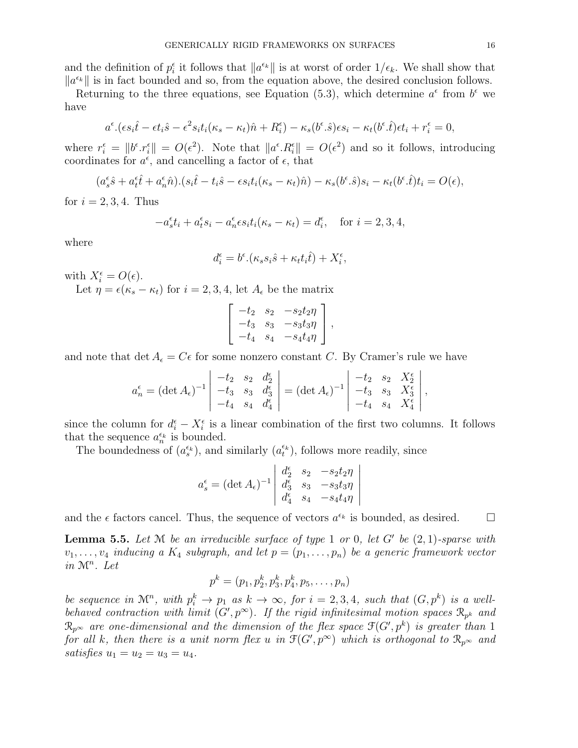and the definition of  $p_i^{\epsilon}$  it follows that  $||a^{\epsilon_k}||$  is at worst of order  $1/\epsilon_k$ . We shall show that  $\|a^{\epsilon_k}\|$  is in fact bounded and so, from the equation above, the desired conclusion follows.

Returning to the three equations, see Equation (5.3), which determine  $a^{\epsilon}$  from  $b^{\epsilon}$  we have

$$
a^{\epsilon} \cdot (\epsilon s_i \hat{t} - \epsilon t_i \hat{s} - \epsilon^2 s_i t_i (\kappa_s - \kappa_t) \hat{n} + R_i^{\epsilon}) - \kappa_s (b^{\epsilon} \cdot \hat{s}) \epsilon s_i - \kappa_t (b^{\epsilon} \cdot \hat{t}) \epsilon t_i + r_i^{\epsilon} = 0,
$$

where  $r_i^{\epsilon} = ||b^{\epsilon} \cdot r_i^{\epsilon}|| = O(\epsilon^2)$ . Note that  $||a^{\epsilon} \cdot R_i^{\epsilon}|| = O(\epsilon^2)$  and so it follows, introducing coordinates for  $a^{\epsilon}$ , and cancelling a factor of  $\epsilon$ , that

$$
(a_s^{\epsilon}\hat{s} + a_t^{\epsilon}\hat{t} + a_n^{\epsilon}\hat{n}).(s_i\hat{t} - t_i\hat{s} - \epsilon s_i t_i(\kappa_s - \kappa_t)\hat{n}) - \kappa_s(b^{\epsilon}.\hat{s})s_i - \kappa_t(b^{\epsilon}.\hat{t})t_i = O(\epsilon),
$$

for  $i = 2, 3, 4$ . Thus

$$
-a_s^{\epsilon}t_i + a_t^{\epsilon}s_i - a_n^{\epsilon}\epsilon s_i t_i(\kappa_s - \kappa_t) = d_i^{\epsilon}, \text{ for } i = 2, 3, 4,
$$

where

$$
d_i^{\epsilon} = b^{\epsilon} \cdot (\kappa_s s_i \hat{s} + \kappa_t t_i \hat{t}) + X_i^{\epsilon},
$$

with  $X_i^{\epsilon} = O(\epsilon)$ .

Let  $\eta = \epsilon(\kappa_s - \kappa_t)$  for  $i = 2, 3, 4$ , let  $A_{\epsilon}$  be the matrix

$$
\begin{bmatrix} -t_2 & s_2 & -s_2t_2\eta \\ -t_3 & s_3 & -s_3t_3\eta \\ -t_4 & s_4 & -s_4t_4\eta \end{bmatrix},
$$

and note that det  $A_{\epsilon} = C_{\epsilon}$  for some nonzero constant C. By Cramer's rule we have

$$
a_n^{\epsilon} = (\det A_{\epsilon})^{-1} \begin{vmatrix} -t_2 & s_2 & d_2^{\epsilon} \\ -t_3 & s_3 & d_3^{\epsilon} \\ -t_4 & s_4 & d_4^{\epsilon} \end{vmatrix} = (\det A_{\epsilon})^{-1} \begin{vmatrix} -t_2 & s_2 & X_2^{\epsilon} \\ -t_3 & s_3 & X_3^{\epsilon} \\ -t_4 & s_4 & X_4^{\epsilon} \end{vmatrix},
$$

since the column for  $d_i^{\epsilon} - X_i^{\epsilon}$  is a linear combination of the first two columns. It follows that the sequence  $a_n^{\epsilon_k}$  is bounded.

The boundedness of  $(a_s^{\epsilon_k})$ , and similarly  $(a_t^{\epsilon_k})$ , follows more readily, since

$$
a_s^{\epsilon} = (\det A_{\epsilon})^{-1} \begin{vmatrix} d_2^{\epsilon} & s_2 & -s_2 t_2 \eta \\ d_3^{\epsilon} & s_3 & -s_3 t_3 \eta \\ d_4^{\epsilon} & s_4 & -s_4 t_4 \eta \end{vmatrix}
$$

and the  $\epsilon$  factors cancel. Thus, the sequence of vectors  $a^{\epsilon_k}$  is bounded, as desired.  $\square$ 

**Lemma 5.5.** Let  $M$  be an irreducible surface of type 1 or 0, let  $G'$  be  $(2, 1)$ -sparse with  $v_1, \ldots, v_4$  inducing a  $K_4$  subgraph, and let  $p = (p_1, \ldots, p_n)$  be a generic framework vector in  $\mathcal{M}^n$ . Let

$$
p^k = (p_1, p_2^k, p_3^k, p_4^k, p_5, \ldots, p_n)
$$

be sequence in  $\mathcal{M}^n$ , with  $p_i^k \to p_1$  as  $k \to \infty$ , for  $i = 2, 3, 4$ , such that  $(G, p^k)$  is a wellbehaved contraction with limit  $(G, p^{\infty})$ . If the rigid infinitesimal motion spaces  $\mathcal{R}_{p^k}$  and  $\mathcal{R}_{p^{\infty}}$  are one-dimensional and the dimension of the flex space  $\mathfrak{F}(G',p^k)$  is greater than 1 for all k, then there is a unit norm flex u in  $\mathfrak{F}(G',p^{\infty})$  which is orthogonal to  $\mathfrak{R}_{p^{\infty}}$  and satisfies  $u_1 = u_2 = u_3 = u_4$ .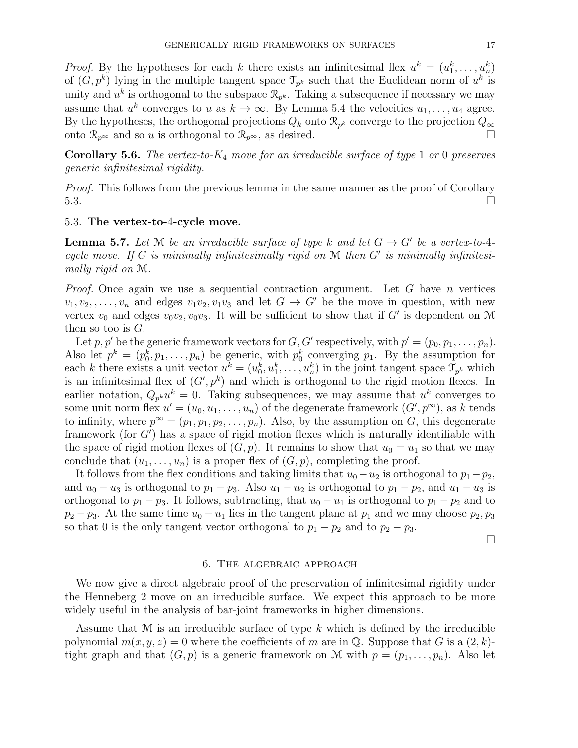*Proof.* By the hypotheses for each k there exists an infinitesimal flex  $u^k = (u_1^k, \ldots, u_n^k)$ of  $(G, p^k)$  lying in the multiple tangent space  $\mathcal{T}_{p^k}$  such that the Euclidean norm of  $u^k$  is unity and  $u^k$  is orthogonal to the subspace  $\mathcal{R}_{p^k}$ . Taking a subsequence if necessary we may assume that  $u^k$  converges to u as  $k \to \infty$ . By Lemma 5.4 the velocities  $u_1, \ldots, u_4$  agree. By the hypotheses, the orthogonal projections  $Q_k$  onto  $\mathcal{R}_{p^k}$  converge to the projection  $Q_{\infty}$ onto  $\mathcal{R}_{p^{\infty}}$  and so u is orthogonal to  $\mathcal{R}_{p^{\infty}}$ , as desired. □

**Corollary 5.6.** The vertex-to- $K_4$  move for an irreducible surface of type 1 or 0 preserves generic infinitesimal rigidity.

*Proof.* This follows from the previous lemma in the same manner as the proof of Corollary  $5.3.$ 

## 5.3. The vertex-to-4-cycle move.

**Lemma 5.7.** Let M be an irreducible surface of type k and let  $G \rightarrow G'$  be a vertex-to-4cycle move. If  $G$  is minimally infinitesimally rigid on  $M$  then  $G'$  is minimally infinitesimally rigid on M.

*Proof.* Once again we use a sequential contraction argument. Let G have n vertices  $v_1, v_2, \ldots, v_n$  and edges  $v_1v_2, v_1v_3$  and let  $G \rightarrow G'$  be the move in question, with new vertex  $v_0$  and edges  $v_0v_2, v_0v_3$ . It will be sufficient to show that if G' is dependent on M then so too is  $G$ .

Let p, p' be the generic framework vectors for  $G, G'$  respectively, with  $p' = (p_0, p_1, \ldots, p_n)$ . Also let  $p^k = (p_0^k, p_1, \ldots, p_n)$  be generic, with  $p_0^k$  converging  $p_1$ . By the assumption for each k there exists a unit vector  $u^k = (u_0^k, u_1^k, \ldots, u_n^k)$  in the joint tangent space  $\mathcal{T}_{p^k}$  which is an infinitesimal flex of  $(G', p^k)$  and which is orthogonal to the rigid motion flexes. In earlier notation,  $Q_{p^k}u^k = 0$ . Taking subsequences, we may assume that  $u^k$  converges to some unit norm flex  $u' = (u_0, u_1, \dots, u_n)$  of the degenerate framework  $(G', p^{\infty})$ , as k tends to infinity, where  $p^{\infty} = (p_1, p_1, p_2, \ldots, p_n)$ . Also, by the assumption on G, this degenerate framework (for  $G'$ ) has a space of rigid motion flexes which is naturally identifiable with the space of rigid motion flexes of  $(G, p)$ . It remains to show that  $u_0 = u_1$  so that we may conclude that  $(u_1, \ldots, u_n)$  is a proper flex of  $(G, p)$ , completing the proof.

It follows from the flex conditions and taking limits that  $u_0 - u_2$  is orthogonal to  $p_1 - p_2$ , and  $u_0 - u_3$  is orthogonal to  $p_1 - p_3$ . Also  $u_1 - u_2$  is orthogonal to  $p_1 - p_2$ , and  $u_1 - u_3$  is orthogonal to  $p_1 - p_3$ . It follows, subtracting, that  $u_0 - u_1$  is orthogonal to  $p_1 - p_2$  and to  $p_2 - p_3$ . At the same time  $u_0 - u_1$  lies in the tangent plane at  $p_1$  and we may choose  $p_2, p_3$ so that 0 is the only tangent vector orthogonal to  $p_1 - p_2$  and to  $p_2 - p_3$ .

 $\Box$ 

## 6. The algebraic approach

We now give a direct algebraic proof of the preservation of infinitesimal rigidity under the Henneberg 2 move on an irreducible surface. We expect this approach to be more widely useful in the analysis of bar-joint frameworks in higher dimensions.

Assume that  $\mathcal M$  is an irreducible surface of type k which is defined by the irreducible polynomial  $m(x, y, z) = 0$  where the coefficients of m are in Q. Suppose that G is a  $(2, k)$ tight graph and that  $(G, p)$  is a generic framework on M with  $p = (p_1, \ldots, p_n)$ . Also let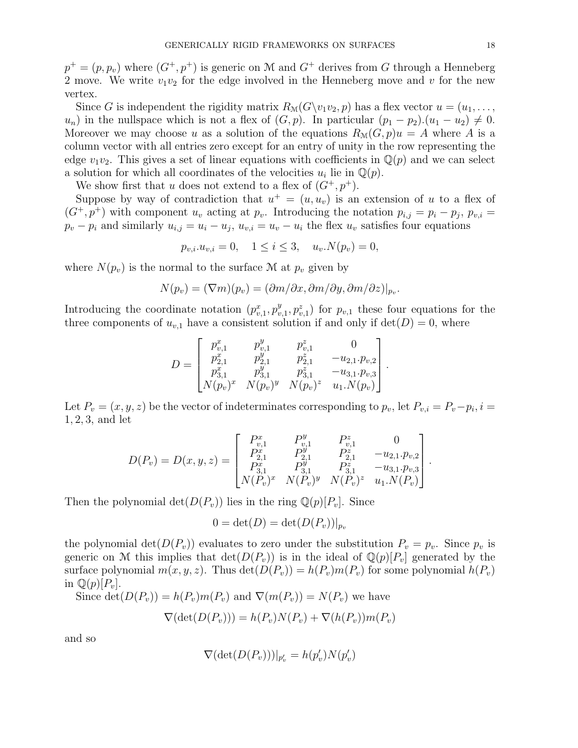$p^+ = (p, p_v)$  where  $(G^+, p^+)$  is generic on M and  $G^+$  derives from G through a Henneberg 2 move. We write  $v_1v_2$  for the edge involved in the Henneberg move and v for the new vertex.

Since G is independent the rigidity matrix  $R_{\mathcal{M}}(G\backslash v_1v_2, p)$  has a flex vector  $u = (u_1, \ldots, u_n)$  $u_n$ ) in the nullspace which is not a flex of  $(G, p)$ . In particular  $(p_1 - p_2) \cdot (u_1 - u_2) \neq 0$ . Moreover we may choose u as a solution of the equations  $R_{\mathcal{M}}(G, p)u = A$  where A is a column vector with all entries zero except for an entry of unity in the row representing the edge  $v_1v_2$ . This gives a set of linear equations with coefficients in  $\mathbb{Q}(p)$  and we can select a solution for which all coordinates of the velocities  $u_i$  lie in  $\mathbb{Q}(p)$ .

We show first that u does not extend to a flex of  $(G^+, p^+)$ .

Suppose by way of contradiction that  $u^+ = (u, u_v)$  is an extension of u to a flex of  $(G^+, p^+)$  with component  $u_v$  acting at  $p_v$ . Introducing the notation  $p_{i,j} = p_i - p_j$ ,  $p_{v,i} =$  $p_v - p_i$  and similarly  $u_{i,j} = u_i - u_j$ ,  $u_{v,i} = u_v - u_i$  the flex  $u_v$  satisfies four equations

$$
p_{v,i}.u_{v,i} = 0
$$
,  $1 \le i \le 3$ ,  $u_v.N(p_v) = 0$ ,

where  $N(p_v)$  is the normal to the surface M at  $p_v$  given by

$$
N(p_v) = (\nabla m)(p_v) = (\partial m/\partial x, \partial m/\partial y, \partial m/\partial z)|_{p_v}.
$$

Introducing the coordinate notation  $(p_{v,1}^x, p_v^y)$  $(v<sub>v,1</sub>, p<sub>v,1</sub><sup>z</sup>)$  for  $p<sub>v,1</sub>$  these four equations for the three components of  $u_{v,1}$  have a consistent solution if and only if  $\det(D) = 0$ , where

$$
D = \begin{bmatrix} p_{v,1}^x & p_{v,1}^y & p_{v,1}^z & 0 \\ p_{2,1}^x & p_{2,1}^y & p_{2,1}^z & -u_{2,1}.p_{v,2} \\ p_{3,1}^x & p_{3,1}^y & p_{3,1}^z & -u_{3,1}.p_{v,3} \\ N(p_v)^x & N(p_v)^y & N(p_v)^z & u_1.N(p_v) \end{bmatrix}
$$

.

Let  $P_v = (x, y, z)$  be the vector of indeterminates corresponding to  $p_v$ , let  $P_{v,i} = P_v - p_i$ ,  $i =$ 1, 2, 3, and let

$$
D(P_v) = D(x, y, z) = \begin{bmatrix} P_{v,1}^x & P_{v,1}^y & P_{v,1}^z & 0 \\ P_{2,1}^x & P_{2,1}^y & P_{2,1}^z & -u_{2,1} \cdot p_{v,2} \\ P_{3,1}^x & P_{3,1}^y & P_{3,1}^z & -u_{3,1} \cdot p_{v,3} \\ N(P_v)^x & N(P_v)^y & N(P_v)^z & u_1 \cdot N(P_v) \end{bmatrix}.
$$

Then the polynomial  $\det(D(P_v))$  lies in the ring  $\mathbb{Q}(p)[P_v]$ . Since

$$
0 = \det(D) = \det(D(P_v))|_{p_v}
$$

the polynomial  $\det(D(P_v))$  evaluates to zero under the substitution  $P_v = p_v$ . Since  $p_v$  is generic on M this implies that  $\det(D(P_v))$  is in the ideal of  $\mathbb{Q}(p)[P_v]$  generated by the surface polynomial  $m(x, y, z)$ . Thus  $\det(D(P_v)) = h(P_v)m(P_v)$  for some polynomial  $h(P_v)$ in  $\mathbb{Q}(p)[P_v].$ 

Since  $\det(D(P_v)) = h(P_v)m(P_v)$  and  $\nabla(m(P_v)) = N(P_v)$  we have

$$
\nabla(\det(D(P_v))) = h(P_v)N(P_v) + \nabla(h(P_v))m(P_v)
$$

and so

$$
\nabla(\det(D(P_v)))|_{p'_v}=h(p'_v)N(p'_v)
$$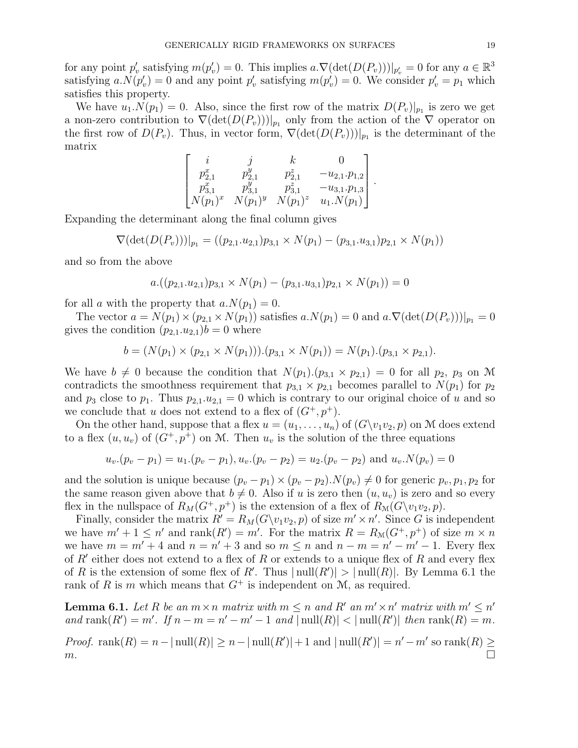for any point  $p'_v$  satisfying  $m(p'_v) = 0$ . This implies  $a.\nabla(\det(D(P_v)))|_{p'_v} = 0$  for any  $a \in \mathbb{R}^3$ satisfying  $a.N(p'_v) = 0$  and any point  $p'_v$  satisfying  $m(p'_v) = 0$ . We consider  $p'_v = p_1$  which satisfies this property.

We have  $u_1 \cdot N(p_1) = 0$ . Also, since the first row of the matrix  $D(P_v)|_{p_1}$  is zero we get a non-zero contribution to  $\nabla (\det(D(P_v)))|_{p_1}$  only from the action of the  $\nabla$  operator on the first row of  $D(P_v)$ . Thus, in vector form,  $\nabla (\det(D(P_v)))|_{p_1}$  is the determinant of the matrix

$$
\begin{bmatrix}\ni & j & k & 0\\p_{2,1}^x & p_{2,1}^y & p_{2,1}^z & -u_{2,1} \cdot p_{1,2}\\p_{3,1}^x & p_{3,1}^y & p_{3,1}^z & -u_{3,1} \cdot p_{1,3}\\N(p_1)^x & N(p_1)^y & N(p_1)^z & u_1 \cdot N(p_1)\end{bmatrix}
$$

.

Expanding the determinant along the final column gives

 $\nabla(\det(D(P_v)))|_{p_1} = ((p_{2,1}.u_{2,1})p_{3,1} \times N(p_1) - (p_{3,1}.u_{3,1})p_{2,1} \times N(p_1))$ 

and so from the above

$$
a.((p_{2,1}.u_{2,1})p_{3,1} \times N(p_1) - (p_{3,1}.u_{3,1})p_{2,1} \times N(p_1)) = 0
$$

for all a with the property that  $a.N(p_1) = 0$ .

The vector  $a = N(p_1) \times (p_{2,1} \times N(p_1))$  satisfies  $a.N(p_1) = 0$  and  $a.\nabla(\det(D(P_v)))|_{p_1} = 0$ gives the condition  $(p_{2,1}.u_{2,1})b = 0$  where

$$
b = (N(p_1) \times (p_{2,1} \times N(p_1))). (p_{3,1} \times N(p_1)) = N(p_1). (p_{3,1} \times p_{2,1}).
$$

We have  $b \neq 0$  because the condition that  $N(p_1)$ . $(p_{3,1} \times p_{2,1}) = 0$  for all  $p_2$ ,  $p_3$  on M contradicts the smoothness requirement that  $p_{3,1} \times p_{2,1}$  becomes parallel to  $N(p_1)$  for  $p_2$ and  $p_3$  close to  $p_1$ . Thus  $p_{2,1}.u_{2,1}=0$  which is contrary to our original choice of u and so we conclude that u does not extend to a flex of  $(G^+, p^+)$ .

On the other hand, suppose that a flex  $u = (u_1, \ldots, u_n)$  of  $(G\Y_1v_2, p)$  on M does extend to a flex  $(u, u_v)$  of  $(G^+, p^+)$  on M. Then  $u_v$  is the solution of the three equations

$$
u_v.(p_v - p_1) = u_1.(p_v - p_1), u_v.(p_v - p_2) = u_2.(p_v - p_2)
$$
 and  $u_v.N(p_v) = 0$ 

and the solution is unique because  $(p_v - p_1) \times (p_v - p_2) \cdot N(p_v) \neq 0$  for generic  $p_v, p_1, p_2$  for the same reason given above that  $b \neq 0$ . Also if u is zero then  $(u, u_v)$  is zero and so every flex in the nullspace of  $R_M(G^+, p^+)$  is the extension of a flex of  $R_M(G\setminus v_1v_2, p)$ .

Finally, consider the matrix  $R' = R_M(G\backslash v_1v_2, p)$  of size  $m' \times n'$ . Since G is independent we have  $m' + 1 \leq n'$  and  $\text{rank}(R') = m'$ . For the matrix  $R = R_{\mathcal{M}}(G^+, p^+)$  of size  $m \times n$ we have  $m = m' + 4$  and  $n = n' + 3$  and so  $m \leq n$  and  $n - m = n' - m' - 1$ . Every flex of  $R'$  either does not extend to a flex of R or extends to a unique flex of R and every flex of R is the extension of some flex of R'. Thus  $|null(R')| > |null(R)|$ . By Lemma 6.1 the rank of R is m which means that  $G^+$  is independent on M, as required.

**Lemma 6.1.** Let R be an  $m \times n$  matrix with  $m \leq n$  and R' an  $m' \times n'$  matrix with  $m' \leq n'$ and rank $(R') = m'$ . If  $n - m = n' - m' - 1$  and  $|\text{null}(R)| < |\text{null}(R')|$  then  $\text{rank}(R) = m$ . *Proof.* rank $(R) = n - |\text{null}(R)| \ge n - |\text{null}(R')| + 1$  and  $|\text{null}(R')| = n' - m'$  so  $\text{rank}(R) \ge$  $m.$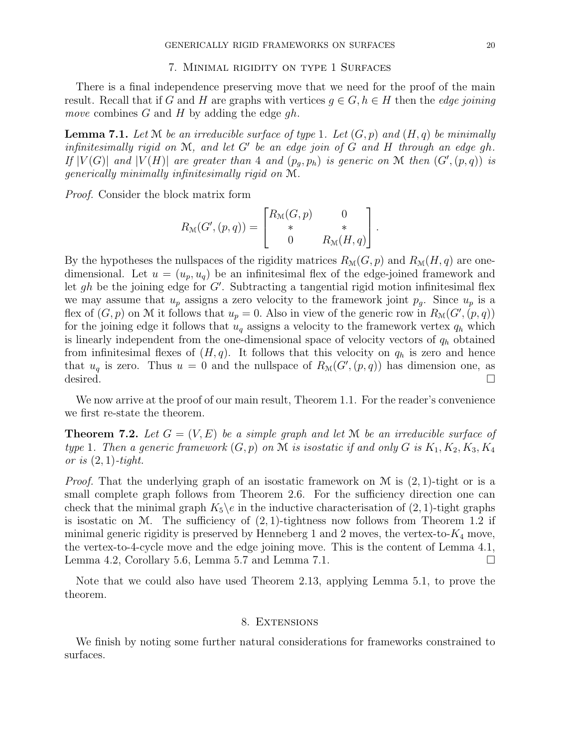#### 7. Minimal rigidity on type 1 Surfaces

There is a final independence preserving move that we need for the proof of the main result. Recall that if G and H are graphs with vertices  $g \in G, h \in H$  then the *edge joining* move combines G and H by adding the edge  $gh$ .

**Lemma 7.1.** Let M be an irreducible surface of type 1. Let  $(G, p)$  and  $(H, q)$  be minimally infinitesimally rigid on  $M$ , and let  $G'$  be an edge join of  $G$  and  $H$  through an edge gh. If  $|V(G)|$  and  $|V(H)|$  are greater than 4 and  $(p_g, p_h)$  is generic on M then  $(G', (p,q))$  is generically minimally infinitesimally rigid on M.

Proof. Consider the block matrix form

$$
R_{\mathcal{M}}(G', (p, q)) = \begin{bmatrix} R_{\mathcal{M}}(G, p) & 0 \\ * & * \\ 0 & R_{\mathcal{M}}(H, q) \end{bmatrix}.
$$

By the hypotheses the nullspaces of the rigidity matrices  $R_{\mathcal{M}}(G, p)$  and  $R_{\mathcal{M}}(H, q)$  are onedimensional. Let  $u = (u_p, u_q)$  be an infinitesimal flex of the edge-joined framework and let gh be the joining edge for  $G'$ . Subtracting a tangential rigid motion infinitesimal flex we may assume that  $u_p$  assigns a zero velocity to the framework joint  $p_g$ . Since  $u_p$  is a flex of  $(G, p)$  on M it follows that  $u_p = 0$ . Also in view of the generic row in  $R_M(G', (p, q))$ for the joining edge it follows that  $u_q$  assigns a velocity to the framework vertex  $q_h$  which is linearly independent from the one-dimensional space of velocity vectors of  $q_h$  obtained from infinitesimal flexes of  $(H, q)$ . It follows that this velocity on  $q_h$  is zero and hence that  $u_q$  is zero. Thus  $u = 0$  and the nullspace of  $R_\mathcal{M}(G', (p,q))$  has dimension one, as desired.

We now arrive at the proof of our main result, Theorem 1.1. For the reader's convenience we first re-state the theorem.

**Theorem 7.2.** Let  $G = (V, E)$  be a simple graph and let M be an irreducible surface of type 1. Then a generic framework  $(G, p)$  on M is isostatic if and only G is  $K_1, K_2, K_3, K_4$ or is  $(2, 1)$ -tight.

*Proof.* That the underlying graph of an isostatic framework on  $\mathcal M$  is (2, 1)-tight or is a small complete graph follows from Theorem 2.6. For the sufficiency direction one can check that the minimal graph  $K_5$  in the inductive characterisation of  $(2, 1)$ -tight graphs is isostatic on M. The sufficiency of  $(2, 1)$ -tightness now follows from Theorem 1.2 if minimal generic rigidity is preserved by Henneberg 1 and 2 moves, the vertex-to- $K_4$  move, the vertex-to-4-cycle move and the edge joining move. This is the content of Lemma 4.1, Lemma 4.2, Corollary 5.6, Lemma 5.7 and Lemma 7.1.

Note that we could also have used Theorem 2.13, applying Lemma 5.1, to prove the theorem.

### 8. Extensions

We finish by noting some further natural considerations for frameworks constrained to surfaces.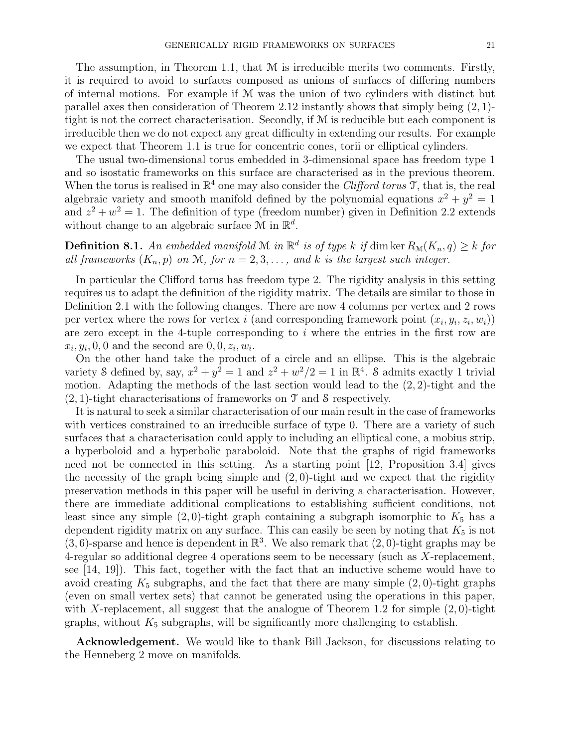The assumption, in Theorem 1.1, that M is irreducible merits two comments. Firstly, it is required to avoid to surfaces composed as unions of surfaces of differing numbers of internal motions. For example if M was the union of two cylinders with distinct but parallel axes then consideration of Theorem 2.12 instantly shows that simply being (2, 1) tight is not the correct characterisation. Secondly, if  $M$  is reducible but each component is irreducible then we do not expect any great difficulty in extending our results. For example we expect that Theorem 1.1 is true for concentric cones, torii or elliptical cylinders.

The usual two-dimensional torus embedded in 3-dimensional space has freedom type 1 and so isostatic frameworks on this surface are characterised as in the previous theorem. When the torus is realised in  $\mathbb{R}^4$  one may also consider the *Clifford torus*  $\mathcal{T}$ , that is, the real algebraic variety and smooth manifold defined by the polynomial equations  $x^2 + y^2 = 1$ and  $z^2 + w^2 = 1$ . The definition of type (freedom number) given in Definition 2.2 extends without change to an algebraic surface  $\mathcal{M}$  in  $\mathbb{R}^d$ .

**Definition 8.1.** An embedded manifold M in  $\mathbb{R}^d$  is of type k if dim ker  $R_{\mathcal{M}}(K_n, q) \geq k$  for all frameworks  $(K_n, p)$  on M, for  $n = 2, 3, \ldots$ , and k is the largest such integer.

In particular the Clifford torus has freedom type 2. The rigidity analysis in this setting requires us to adapt the definition of the rigidity matrix. The details are similar to those in Definition 2.1 with the following changes. There are now 4 columns per vertex and 2 rows per vertex where the rows for vertex i (and corresponding framework point  $(x_i, y_i, z_i, w_i)$ ) are zero except in the 4-tuple corresponding to  $i$  where the entries in the first row are  $x_i, y_i, 0, 0$  and the second are  $0, 0, z_i, w_i$ .

On the other hand take the product of a circle and an ellipse. This is the algebraic variety 8 defined by, say,  $x^2 + y^2 = 1$  and  $z^2 + w^2/2 = 1$  in  $\mathbb{R}^4$ . S admits exactly 1 trivial motion. Adapting the methods of the last section would lead to the  $(2, 2)$ -tight and the  $(2, 1)$ -tight characterisations of frameworks on T and S respectively.

It is natural to seek a similar characterisation of our main result in the case of frameworks with vertices constrained to an irreducible surface of type 0. There are a variety of such surfaces that a characterisation could apply to including an elliptical cone, a mobius strip, a hyperboloid and a hyperbolic paraboloid. Note that the graphs of rigid frameworks need not be connected in this setting. As a starting point [12, Proposition 3.4] gives the necessity of the graph being simple and  $(2, 0)$ -tight and we expect that the rigidity preservation methods in this paper will be useful in deriving a characterisation. However, there are immediate additional complications to establishing sufficient conditions, not least since any simple  $(2,0)$ -tight graph containing a subgraph isomorphic to  $K_5$  has a dependent rigidity matrix on any surface. This can easily be seen by noting that  $K_5$  is not  $(3, 6)$ -sparse and hence is dependent in  $\mathbb{R}^3$ . We also remark that  $(2, 0)$ -tight graphs may be 4-regular so additional degree 4 operations seem to be necessary (such as X-replacement, see [14, 19]). This fact, together with the fact that an inductive scheme would have to avoid creating  $K_5$  subgraphs, and the fact that there are many simple  $(2, 0)$ -tight graphs (even on small vertex sets) that cannot be generated using the operations in this paper, with X-replacement, all suggest that the analogue of Theorem 1.2 for simple  $(2,0)$ -tight graphs, without  $K_5$  subgraphs, will be significantly more challenging to establish.

Acknowledgement. We would like to thank Bill Jackson, for discussions relating to the Henneberg 2 move on manifolds.